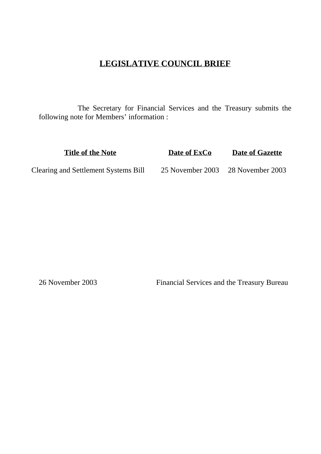# **LEGISLATIVE COUNCIL BRIEF**

The Secretary for Financial Services and the Treasury submits the following note for Members' information :

**Title of the Note Date of ExCo Date of Gazette** Clearing and Settlement Systems Bill 25 November 2003 28 November 2003

26 November 2003 Financial Services and the Treasury Bureau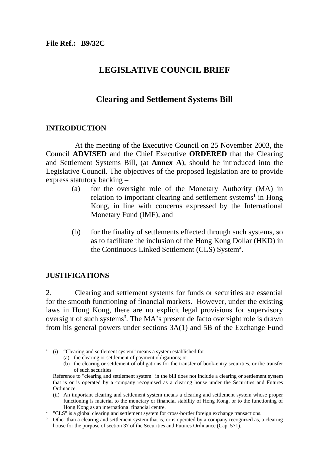# **LEGISLATIVE COUNCIL BRIEF**

## **Clearing and Settlement Systems Bill**

## **INTRODUCTION**

At the meeting of the Executive Council on 25 November 2003, the Council **ADVISED** and the Chief Executive **ORDERED** that the Clearing and Settlement Systems Bill, (at **Annex A**), should be introduced into the Legislative Council. The objectives of the proposed legislation are to provide express statutory backing –

- (a) for the oversight role of the Monetary Authority (MA) in relation to important clearing and settlement systems<sup>1</sup> in Hong Kong, in line with concerns expressed by the International Monetary Fund (IMF); and
- (b) for the finality of settlements effected through such systems, so as to facilitate the inclusion of the Hong Kong Dollar (HKD) in the Continuous Linked Settlement (CLS) System<sup>2</sup>.

## **JUSTIFICATIONS**

2. Clearing and settlement systems for funds or securities are essential for the smooth functioning of financial markets. However, under the existing laws in Hong Kong, there are no explicit legal provisions for supervisory oversight of such systems<sup>3</sup>. The MA's present de facto oversight role is drawn from his general powers under sections 3A(1) and 5B of the Exchange Fund

<sup>1</sup> (i) "Clearing and settlement system" means a system established for -

<sup>(</sup>a) the clearing or settlement of payment obligations; or

<sup>(</sup>b) the clearing or settlement of obligations for the transfer of book-entry securities, or the transfer of such securities.

Reference to "clearing and settlement system" in the bill does not include a clearing or settlement system that is or is operated by a company recognised as a clearing house under the Securities and Futures Ordinance.

<sup>(</sup>ii) An important clearing and settlement system means a clearing and settlement system whose proper functioning is material to the monetary or financial stability of Hong Kong, or to the functioning of Hong Kong as an international financial centre.

<sup>&</sup>lt;sup>2</sup> "CLS" is a global clearing and settlement system for cross-border foreign exchange transactions.<br><sup>3</sup> Other than a clearing and settlement system that is or is operated by a company recognized as

Other than a clearing and settlement system that is, or is operated by a company recognized as, a clearing house for the purpose of section 37 of the Securities and Futures Ordinance (Cap. 571).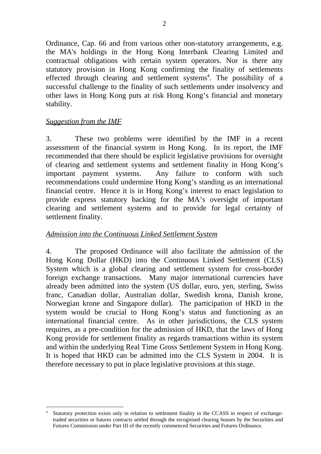Ordinance, Cap. 66 and from various other non-statutory arrangements, e.g. the MA's holdings in the Hong Kong Interbank Clearing Limited and contractual obligations with certain system operators. Nor is there any statutory provision in Hong Kong confirming the finality of settlements effected through clearing and settlement systems<sup>4</sup>. The possibility of a successful challenge to the finality of such settlements under insolvency and other laws in Hong Kong puts at risk Hong Kong's financial and monetary stability.

## *Suggestion from the IMF*

3. These two problems were identified by the IMF in a recent assessment of the financial system in Hong Kong. In its report, the IMF recommended that there should be explicit legislative provisions for oversight of clearing and settlement systems and settlement finality in Hong Kong's important payment systems. Any failure to conform with such recommendations could undermine Hong Kong's standing as an international financial centre. Hence it is in Hong Kong's interest to enact legislation to provide express statutory backing for the MA's oversight of important clearing and settlement systems and to provide for legal certainty of settlement finality.

## *Admission into the Continuous Linked Settlement System*

4. The proposed Ordinance will also facilitate the admission of the Hong Kong Dollar (HKD) into the Continuous Linked Settlement (CLS) System which is a global clearing and settlement system for cross-border foreign exchange transactions. Many major international currencies have already been admitted into the system (US dollar, euro, yen, sterling, Swiss franc, Canadian dollar, Australian dollar, Swedish krona, Danish krone, Norwegian krone and Singapore dollar). The participation of HKD in the system would be crucial to Hong Kong's status and functioning as an international financial centre. As in other jurisdictions, the CLS system requires, as a pre-condition for the admission of HKD, that the laws of Hong Kong provide for settlement finality as regards transactions within its system and within the underlying Real Time Gross Settlement System in Hong Kong. It is hoped that HKD can be admitted into the CLS System in 2004. It is therefore necessary to put in place legislative provisions at this stage.

 $\overline{a}$ Statutory protection exists only in relation to settlement finality in the CCASS in respect of exchangetraded securities or futures contracts settled through the recognised clearing houses by the Securities and Futures Commission under Part III of the recently commenced Securities and Futures Ordinance.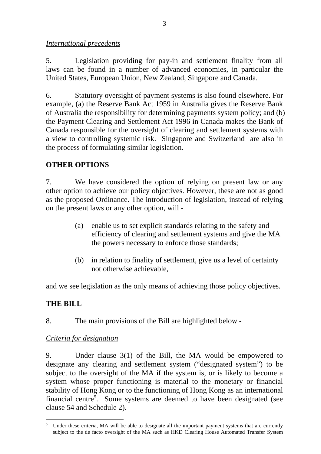*International precedents*

5. Legislation providing for pay-in and settlement finality from all laws can be found in a number of advanced economies, in particular the United States, European Union, New Zealand, Singapore and Canada.

6. Statutory oversight of payment systems is also found elsewhere. For example, (a) the Reserve Bank Act 1959 in Australia gives the Reserve Bank of Australia the responsibility for determining payments system policy; and (b) the Payment Clearing and Settlement Act 1996 in Canada makes the Bank of Canada responsible for the oversight of clearing and settlement systems with a view to controlling systemic risk. Singapore and Switzerland are also in the process of formulating similar legislation.

# **OTHER OPTIONS**

7. We have considered the option of relying on present law or any other option to achieve our policy objectives. However, these are not as good as the proposed Ordinance. The introduction of legislation, instead of relying on the present laws or any other option, will -

- (a) enable us to set explicit standards relating to the safety and efficiency of clearing and settlement systems and give the MA the powers necessary to enforce those standards;
- (b) in relation to finality of settlement, give us a level of certainty not otherwise achievable,

and we see legislation as the only means of achieving those policy objectives.

# **THE BILL**

8. The main provisions of the Bill are highlighted below -

## *Criteria for designation*

9. Under clause 3(1) of the Bill, the MA would be empowered to designate any clearing and settlement system ("designated system") to be subject to the oversight of the MA if the system is, or is likely to become a system whose proper functioning is material to the monetary or financial stability of Hong Kong or to the functioning of Hong Kong as an international financial centre<sup>5</sup>. Some systems are deemed to have been designated (see clause 54 and Schedule 2).

 5 Under these criteria, MA will be able to designate all the important payment systems that are currently subject to the de facto oversight of the MA such as HKD Clearing House Automated Transfer System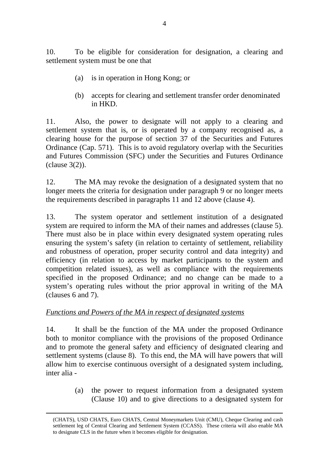10. To be eligible for consideration for designation, a clearing and settlement system must be one that

- (a) is in operation in Hong Kong; or
- (b) accepts for clearing and settlement transfer order denominated in HKD.

11. Also, the power to designate will not apply to a clearing and settlement system that is, or is operated by a company recognised as, a clearing house for the purpose of section 37 of the Securities and Futures Ordinance (Cap. 571). This is to avoid regulatory overlap with the Securities and Futures Commission (SFC) under the Securities and Futures Ordinance (clause 3(2)).

12. The MA may revoke the designation of a designated system that no longer meets the criteria for designation under paragraph 9 or no longer meets the requirements described in paragraphs 11 and 12 above (clause 4).

13. The system operator and settlement institution of a designated system are required to inform the MA of their names and addresses (clause 5). There must also be in place within every designated system operating rules ensuring the system's safety (in relation to certainty of settlement, reliability and robustness of operation, proper security control and data integrity) and efficiency (in relation to access by market participants to the system and competition related issues), as well as compliance with the requirements specified in the proposed Ordinance; and no change can be made to a system's operating rules without the prior approval in writing of the MA (clauses 6 and 7).

## *Functions and Powers of the MA in respect of designated systems*

14. It shall be the function of the MA under the proposed Ordinance both to monitor compliance with the provisions of the proposed Ordinance and to promote the general safety and efficiency of designated clearing and settlement systems (clause 8). To this end, the MA will have powers that will allow him to exercise continuous oversight of a designated system including, inter alia -

> (a) the power to request information from a designated system (Clause 10) and to give directions to a designated system for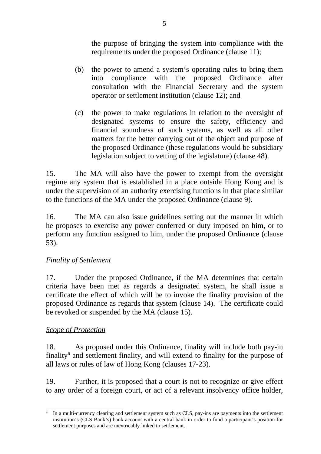the purpose of bringing the system into compliance with the requirements under the proposed Ordinance (clause 11);

- (b) the power to amend a system's operating rules to bring them into compliance with the proposed Ordinance after consultation with the Financial Secretary and the system operator or settlement institution (clause 12); and
- (c) the power to make regulations in relation to the oversight of designated systems to ensure the safety, efficiency and financial soundness of such systems, as well as all other matters for the better carrying out of the object and purpose of the proposed Ordinance (these regulations would be subsidiary legislation subject to vetting of the legislature) (clause 48).

15. The MA will also have the power to exempt from the oversight regime any system that is established in a place outside Hong Kong and is under the supervision of an authority exercising functions in that place similar to the functions of the MA under the proposed Ordinance (clause 9).

16. The MA can also issue guidelines setting out the manner in which he proposes to exercise any power conferred or duty imposed on him, or to perform any function assigned to him, under the proposed Ordinance (clause 53).

## *Finality of Settlement*

17. Under the proposed Ordinance, if the MA determines that certain criteria have been met as regards a designated system, he shall issue a certificate the effect of which will be to invoke the finality provision of the proposed Ordinance as regards that system (clause 14). The certificate could be revoked or suspended by the MA (clause 15).

## *Scope of Protection*

18. As proposed under this Ordinance, finality will include both pay-in finality<sup>6</sup> and settlement finality, and will extend to finality for the purpose of all laws or rules of law of Hong Kong (clauses 17-23).

19. Further, it is proposed that a court is not to recognize or give effect to any order of a foreign court, or act of a relevant insolvency office holder,

 $\overline{a}$ In a multi-currency clearing and settlement system such as CLS, pay-ins are payments into the settlement institution's (CLS Bank's) bank account with a central bank in order to fund a participant's position for settlement purposes and are inextricably linked to settlement.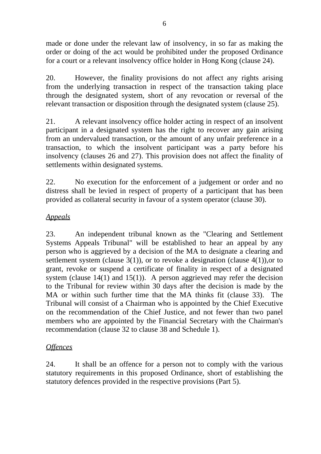made or done under the relevant law of insolvency, in so far as making the order or doing of the act would be prohibited under the proposed Ordinance for a court or a relevant insolvency office holder in Hong Kong (clause 24).

20. However, the finality provisions do not affect any rights arising from the underlying transaction in respect of the transaction taking place through the designated system, short of any revocation or reversal of the relevant transaction or disposition through the designated system (clause 25).

21. A relevant insolvency office holder acting in respect of an insolvent participant in a designated system has the right to recover any gain arising from an undervalued transaction, or the amount of any unfair preference in a transaction, to which the insolvent participant was a party before his insolvency (clauses 26 and 27). This provision does not affect the finality of settlements within designated systems.

22. No execution for the enforcement of a judgement or order and no distress shall be levied in respect of property of a participant that has been provided as collateral security in favour of a system operator (clause 30).

# *Appeals*

23. An independent tribunal known as the "Clearing and Settlement Systems Appeals Tribunal" will be established to hear an appeal by any person who is aggrieved by a decision of the MA to designate a clearing and settlement system (clause  $3(1)$ ), or to revoke a designation (clause  $4(1)$ ), or to grant, revoke or suspend a certificate of finality in respect of a designated system (clause  $14(1)$  and  $15(1)$ ). A person aggrieved may refer the decision to the Tribunal for review within 30 days after the decision is made by the MA or within such further time that the MA thinks fit (clause 33). The Tribunal will consist of a Chairman who is appointed by the Chief Executive on the recommendation of the Chief Justice, and not fewer than two panel members who are appointed by the Financial Secretary with the Chairman's recommendation (clause 32 to clause 38 and Schedule 1).

## *Offences*

24. It shall be an offence for a person not to comply with the various statutory requirements in this proposed Ordinance, short of establishing the statutory defences provided in the respective provisions (Part 5).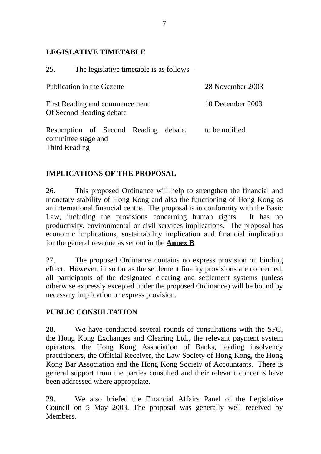## **LEGISLATIVE TIMETABLE**

25. The legislative timetable is as follows –

| Publication in the Gazette                                 |  |  |  |                  | 28 November 2003 |
|------------------------------------------------------------|--|--|--|------------------|------------------|
| First Reading and commencement<br>Of Second Reading debate |  |  |  | 10 December 2003 |                  |
| Resumption of Second Reading debate,                       |  |  |  |                  | to be notified   |

committee stage and Third Reading

# **IMPLICATIONS OF THE PROPOSAL**

26. This proposed Ordinance will help to strengthen the financial and monetary stability of Hong Kong and also the functioning of Hong Kong as an international financial centre. The proposal is in conformity with the Basic Law, including the provisions concerning human rights. It has no productivity, environmental or civil services implications. The proposal has economic implications, sustainability implication and financial implication for the general revenue as set out in the **Annex B**

27. The proposed Ordinance contains no express provision on binding effect. However, in so far as the settlement finality provisions are concerned, all participants of the designated clearing and settlement systems (unless otherwise expressly excepted under the proposed Ordinance) will be bound by necessary implication or express provision.

# **PUBLIC CONSULTATION**

28. We have conducted several rounds of consultations with the SFC, the Hong Kong Exchanges and Clearing Ltd., the relevant payment system operators, the Hong Kong Association of Banks, leading insolvency practitioners, the Official Receiver, the Law Society of Hong Kong, the Hong Kong Bar Association and the Hong Kong Society of Accountants. There is general support from the parties consulted and their relevant concerns have been addressed where appropriate.

29. We also briefed the Financial Affairs Panel of the Legislative Council on 5 May 2003. The proposal was generally well received by Members.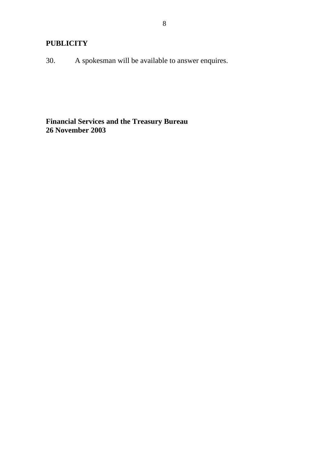# **PUBLICITY**

30. A spokesman will be available to answer enquires.

## **Financial Services and the Treasury Bureau 26 November 2003**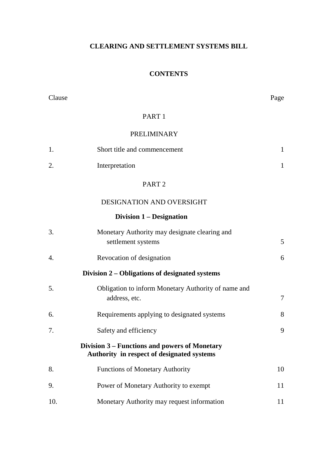## **CLEARING AND SETTLEMENT SYSTEMS BILL**

## **CONTENTS**

| Clause |                                                                                             | Page         |
|--------|---------------------------------------------------------------------------------------------|--------------|
|        | PART <sub>1</sub>                                                                           |              |
|        | <b>PRELIMINARY</b>                                                                          |              |
| 1.     | Short title and commencement                                                                | $\mathbf{1}$ |
| 2.     | Interpretation                                                                              | $\mathbf{1}$ |
|        | PART <sub>2</sub>                                                                           |              |
|        | DESIGNATION AND OVERSIGHT                                                                   |              |
|        | Division 1 – Designation                                                                    |              |
| 3.     | Monetary Authority may designate clearing and<br>settlement systems                         | 5            |
| 4.     | Revocation of designation                                                                   | 6            |
|        | Division 2 – Obligations of designated systems                                              |              |
| 5.     | Obligation to inform Monetary Authority of name and<br>address, etc.                        | 7            |
| 6.     | Requirements applying to designated systems                                                 | 8            |
| 7.     | Safety and efficiency                                                                       | 9            |
|        | Division 3 – Functions and powers of Monetary<br>Authority in respect of designated systems |              |
| 8.     | Functions of Monetary Authority                                                             | 10           |
| 9.     | Power of Monetary Authority to exempt                                                       | 11           |
| 10.    | Monetary Authority may request information                                                  | 11           |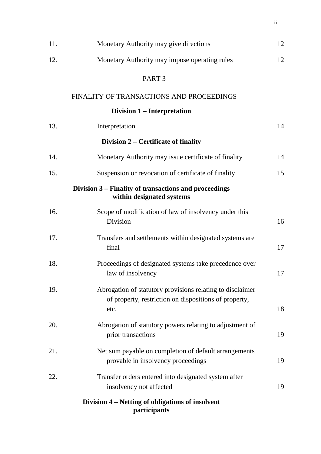| 11. | Monetary Authority may give directions                                                                                     | 12 |
|-----|----------------------------------------------------------------------------------------------------------------------------|----|
| 12. | Monetary Authority may impose operating rules                                                                              | 12 |
|     | PART <sub>3</sub>                                                                                                          |    |
|     | FINALITY OF TRANSACTIONS AND PROCEEDINGS                                                                                   |    |
|     | Division 1 – Interpretation                                                                                                |    |
| 13. | Interpretation                                                                                                             | 14 |
|     | Division 2 – Certificate of finality                                                                                       |    |
| 14. | Monetary Authority may issue certificate of finality                                                                       | 14 |
| 15. | Suspension or revocation of certificate of finality                                                                        | 15 |
|     | Division 3 – Finality of transactions and proceedings<br>within designated systems                                         |    |
| 16. | Scope of modification of law of insolvency under this<br>Division                                                          | 16 |
| 17. | Transfers and settlements within designated systems are<br>final                                                           | 17 |
| 18. | Proceedings of designated systems take precedence over<br>law of insolvency                                                | 17 |
| 19. | Abrogation of statutory provisions relating to disclaimer<br>of property, restriction on dispositions of property,<br>etc. | 18 |
| 20. | Abrogation of statutory powers relating to adjustment of<br>prior transactions                                             | 19 |
| 21. | Net sum payable on completion of default arrangements<br>provable in insolvency proceedings                                | 19 |
| 22. | Transfer orders entered into designated system after<br>insolvency not affected                                            | 19 |
|     | Division 4 – Netting of obligations of insolvent<br>participants                                                           |    |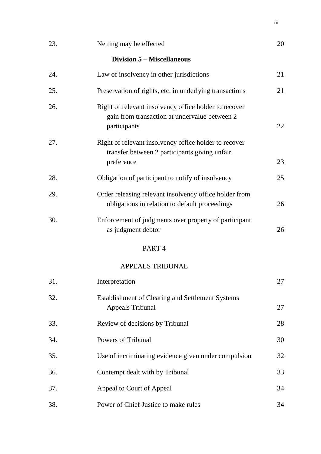| 23. | Netting may be effected                                                                                                | 20 |
|-----|------------------------------------------------------------------------------------------------------------------------|----|
|     | <b>Division 5 – Miscellaneous</b>                                                                                      |    |
| 24. | Law of insolvency in other jurisdictions                                                                               | 21 |
| 25. | Preservation of rights, etc. in underlying transactions                                                                | 21 |
| 26. | Right of relevant insolvency office holder to recover<br>gain from transaction at undervalue between 2<br>participants | 22 |
| 27. | Right of relevant insolvency office holder to recover<br>transfer between 2 participants giving unfair<br>preference   | 23 |
| 28. | Obligation of participant to notify of insolvency                                                                      | 25 |
| 29. | Order releasing relevant insolvency office holder from<br>obligations in relation to default proceedings               | 26 |
| 30. | Enforcement of judgments over property of participant<br>as judgment debtor                                            | 26 |
|     | PART <sub>4</sub>                                                                                                      |    |
|     | <b>APPEALS TRIBUNAL</b>                                                                                                |    |
| 31. | Interpretation                                                                                                         | 27 |
| 32. | Establishment of Clearing and Settlement Systems<br><b>Appeals Tribunal</b>                                            | 27 |
| 33. | Review of decisions by Tribunal                                                                                        | 28 |
| 34. | Powers of Tribunal                                                                                                     | 30 |
| 35. | Use of incriminating evidence given under compulsion                                                                   | 32 |
| 36. | Contempt dealt with by Tribunal                                                                                        | 33 |
| 37. | Appeal to Court of Appeal                                                                                              | 34 |
| 38. | Power of Chief Justice to make rules                                                                                   | 34 |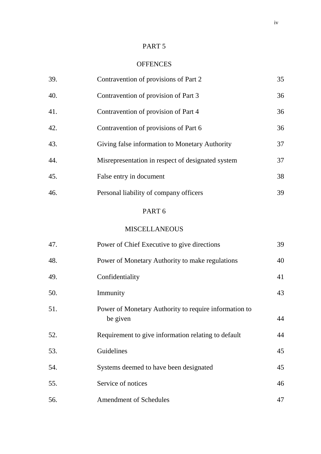## PART 5

## **OFFENCES**

| 39. | Contravention of provisions of Part 2                             | 35 |
|-----|-------------------------------------------------------------------|----|
| 40. | Contravention of provision of Part 3                              | 36 |
| 41. | Contravention of provision of Part 4                              | 36 |
| 42. | Contravention of provisions of Part 6                             | 36 |
| 43. | Giving false information to Monetary Authority                    | 37 |
| 44. | Misrepresentation in respect of designated system                 | 37 |
| 45. | False entry in document                                           | 38 |
| 46. | Personal liability of company officers                            | 39 |
|     | PART <sub>6</sub>                                                 |    |
|     | <b>MISCELLANEOUS</b>                                              |    |
| 47. | Power of Chief Executive to give directions                       | 39 |
| 48. | Power of Monetary Authority to make regulations                   | 40 |
| 49. | Confidentiality                                                   | 41 |
| 50. | Immunity                                                          | 43 |
| 51. | Power of Monetary Authority to require information to<br>be given | 44 |
| 52. | Requirement to give information relating to default               | 44 |
| 53. | Guidelines                                                        | 45 |
| 54. | Systems deemed to have been designated                            | 45 |
| 55. | Service of notices                                                | 46 |
| 56. | Amendment of Schedules                                            | 47 |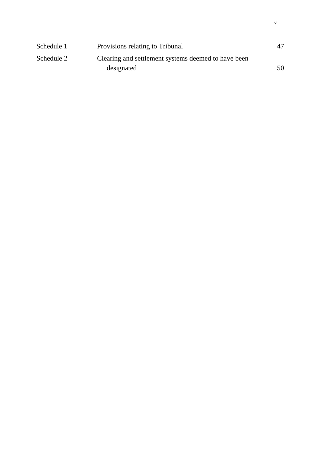| Schedule 1 | Provisions relating to Tribunal                     | 47 |
|------------|-----------------------------------------------------|----|
| Schedule 2 | Clearing and settlement systems deemed to have been |    |
|            | designated                                          | 50 |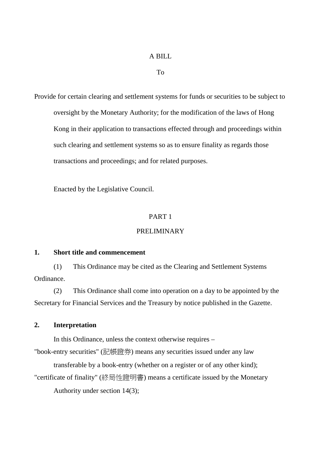### A BILL

To

Provide for certain clearing and settlement systems for funds or securities to be subject to oversight by the Monetary Authority; for the modification of the laws of Hong Kong in their application to transactions effected through and proceedings within such clearing and settlement systems so as to ensure finality as regards those transactions and proceedings; and for related purposes.

Enacted by the Legislative Council.

#### PART 1

#### PRELIMINARY

#### **1. Short title and commencement**

(1) This Ordinance may be cited as the Clearing and Settlement Systems Ordinance.

(2) This Ordinance shall come into operation on a day to be appointed by the Secretary for Financial Services and the Treasury by notice published in the Gazette.

#### **2. Interpretation**

In this Ordinance, unless the context otherwise requires –

"book-entry securities" (記帳證券) means any securities issued under any law

transferable by a book-entry (whether on a register or of any other kind);

"certificate of finality" (終局性證明書) means a certificate issued by the Monetary

Authority under section 14(3);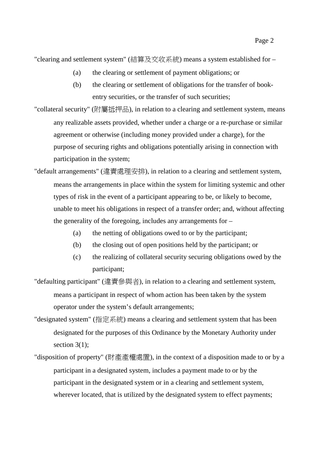"clearing and settlement system" (結算及交收系統) means a system established for –

- (a) the clearing or settlement of payment obligations; or
- (b) the clearing or settlement of obligations for the transfer of bookentry securities, or the transfer of such securities;
- "collateral security" (附屬抵押品), in relation to a clearing and settlement system, means any realizable assets provided, whether under a charge or a re-purchase or similar agreement or otherwise (including money provided under a charge), for the purpose of securing rights and obligations potentially arising in connection with participation in the system;
- "default arrangements" (違責處理安排), in relation to a clearing and settlement system, means the arrangements in place within the system for limiting systemic and other types of risk in the event of a participant appearing to be, or likely to become, unable to meet his obligations in respect of a transfer order; and, without affecting the generality of the foregoing, includes any arrangements for –
	- (a) the netting of obligations owed to or by the participant;
	- (b) the closing out of open positions held by the participant; or
	- (c) the realizing of collateral security securing obligations owed by the participant;
- "defaulting participant" (違責參與者), in relation to a clearing and settlement system, means a participant in respect of whom action has been taken by the system operator under the system's default arrangements;
- "designated system" (指定系統) means a clearing and settlement system that has been designated for the purposes of this Ordinance by the Monetary Authority under section  $3(1)$ ;
- "disposition of property" (財產產權處置), in the context of a disposition made to or by a participant in a designated system, includes a payment made to or by the participant in the designated system or in a clearing and settlement system, wherever located, that is utilized by the designated system to effect payments;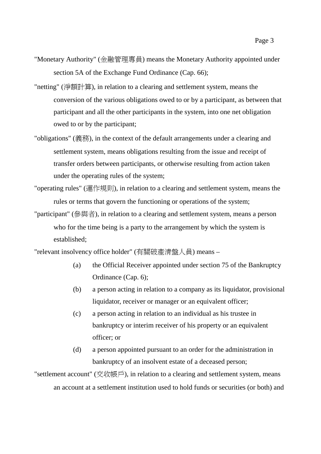Page 3

- "Monetary Authority" (金融管理專員) means the Monetary Authority appointed under section 5A of the Exchange Fund Ordinance (Cap. 66);
- "netting" (淨額計算), in relation to a clearing and settlement system, means the conversion of the various obligations owed to or by a participant, as between that participant and all the other participants in the system, into one net obligation owed to or by the participant;
- "obligations" (義務), in the context of the default arrangements under a clearing and settlement system, means obligations resulting from the issue and receipt of transfer orders between participants, or otherwise resulting from action taken under the operating rules of the system;
- "operating rules" (運作規則), in relation to a clearing and settlement system, means the rules or terms that govern the functioning or operations of the system;
- "participant" (參與者), in relation to a clearing and settlement system, means a person who for the time being is a party to the arrangement by which the system is established;

"relevant insolvency office holder" (有關破產清盤㆟員) means –

- (a) the Official Receiver appointed under section 75 of the Bankruptcy Ordinance (Cap. 6);
- (b) a person acting in relation to a company as its liquidator, provisional liquidator, receiver or manager or an equivalent officer;
- (c) a person acting in relation to an individual as his trustee in bankruptcy or interim receiver of his property or an equivalent officer; or
- (d) a person appointed pursuant to an order for the administration in bankruptcy of an insolvent estate of a deceased person;

"settlement account" (交收帳戶), in relation to a clearing and settlement system, means an account at a settlement institution used to hold funds or securities (or both) and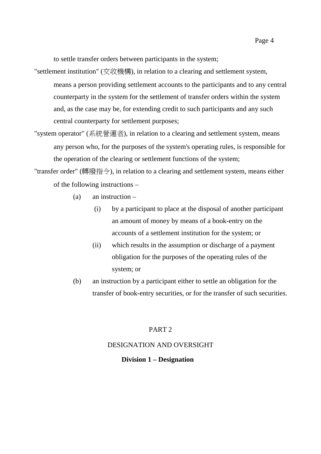to settle transfer orders between participants in the system;

- "settlement institution" (交收機構), in relation to a clearing and settlement system, means a person providing settlement accounts to the participants and to any central counterparty in the system for the settlement of transfer orders within the system and, as the case may be, for extending credit to such participants and any such central counterparty for settlement purposes;
- "system operator" (系統營運者), in relation to a clearing and settlement system, means any person who, for the purposes of the system's operating rules, is responsible for the operation of the clearing or settlement functions of the system;

"transfer order" (轉撥指令), in relation to a clearing and settlement system, means either of the following instructions –

- (a) an instruction
	- (i) by a participant to place at the disposal of another participant an amount of money by means of a book-entry on the accounts of a settlement institution for the system; or
	- (ii) which results in the assumption or discharge of a payment obligation for the purposes of the operating rules of the system; or
- (b) an instruction by a participant either to settle an obligation for the transfer of book-entry securities, or for the transfer of such securities.

#### PART 2

#### DESIGNATION AND OVERSIGHT

#### **Division 1 – Designation**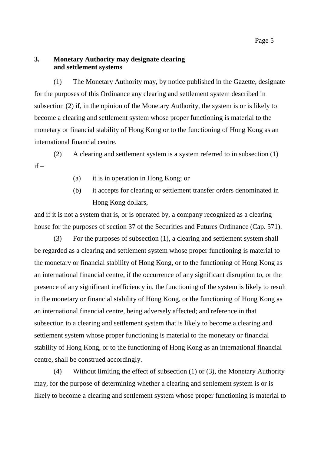### **3. Monetary Authority may designate clearing and settlement systems**

(1) The Monetary Authority may, by notice published in the Gazette, designate for the purposes of this Ordinance any clearing and settlement system described in subsection (2) if, in the opinion of the Monetary Authority, the system is or is likely to become a clearing and settlement system whose proper functioning is material to the monetary or financial stability of Hong Kong or to the functioning of Hong Kong as an international financial centre.

(2) A clearing and settlement system is a system referred to in subsection (1)  $if -$ 

- (a) it is in operation in Hong Kong; or
- (b) it accepts for clearing or settlement transfer orders denominated in Hong Kong dollars,

and if it is not a system that is, or is operated by, a company recognized as a clearing house for the purposes of section 37 of the Securities and Futures Ordinance (Cap. 571).

(3) For the purposes of subsection (1), a clearing and settlement system shall be regarded as a clearing and settlement system whose proper functioning is material to the monetary or financial stability of Hong Kong, or to the functioning of Hong Kong as an international financial centre, if the occurrence of any significant disruption to, or the presence of any significant inefficiency in, the functioning of the system is likely to result in the monetary or financial stability of Hong Kong, or the functioning of Hong Kong as an international financial centre, being adversely affected; and reference in that subsection to a clearing and settlement system that is likely to become a clearing and settlement system whose proper functioning is material to the monetary or financial stability of Hong Kong, or to the functioning of Hong Kong as an international financial centre, shall be construed accordingly.

(4) Without limiting the effect of subsection (1) or (3), the Monetary Authority may, for the purpose of determining whether a clearing and settlement system is or is likely to become a clearing and settlement system whose proper functioning is material to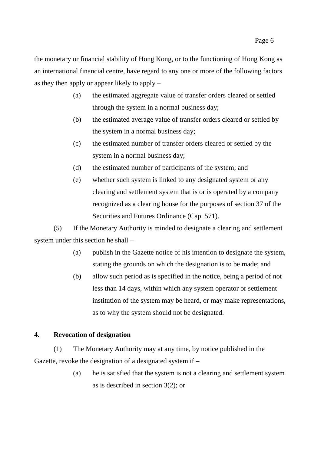the monetary or financial stability of Hong Kong, or to the functioning of Hong Kong as an international financial centre, have regard to any one or more of the following factors as they then apply or appear likely to apply –

- (a) the estimated aggregate value of transfer orders cleared or settled through the system in a normal business day;
- (b) the estimated average value of transfer orders cleared or settled by the system in a normal business day;
- (c) the estimated number of transfer orders cleared or settled by the system in a normal business day;
- (d) the estimated number of participants of the system; and
- (e) whether such system is linked to any designated system or any clearing and settlement system that is or is operated by a company recognized as a clearing house for the purposes of section 37 of the Securities and Futures Ordinance (Cap. 571).

(5) If the Monetary Authority is minded to designate a clearing and settlement system under this section he shall –

- (a) publish in the Gazette notice of his intention to designate the system, stating the grounds on which the designation is to be made; and
- (b) allow such period as is specified in the notice, being a period of not less than 14 days, within which any system operator or settlement institution of the system may be heard, or may make representations, as to why the system should not be designated.

## **4. Revocation of designation**

(1) The Monetary Authority may at any time, by notice published in the Gazette, revoke the designation of a designated system if –

> (a) he is satisfied that the system is not a clearing and settlement system as is described in section 3(2); or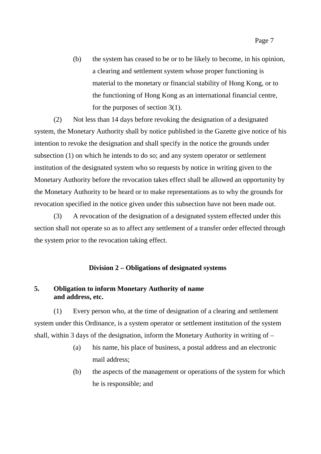(b) the system has ceased to be or to be likely to become, in his opinion, a clearing and settlement system whose proper functioning is material to the monetary or financial stability of Hong Kong, or to the functioning of Hong Kong as an international financial centre, for the purposes of section 3(1).

(2) Not less than 14 days before revoking the designation of a designated system, the Monetary Authority shall by notice published in the Gazette give notice of his intention to revoke the designation and shall specify in the notice the grounds under subsection (1) on which he intends to do so; and any system operator or settlement institution of the designated system who so requests by notice in writing given to the Monetary Authority before the revocation takes effect shall be allowed an opportunity by the Monetary Authority to be heard or to make representations as to why the grounds for revocation specified in the notice given under this subsection have not been made out.

(3) A revocation of the designation of a designated system effected under this section shall not operate so as to affect any settlement of a transfer order effected through the system prior to the revocation taking effect.

#### **Division 2 – Obligations of designated systems**

## **5. Obligation to inform Monetary Authority of name and address, etc.**

(1) Every person who, at the time of designation of a clearing and settlement system under this Ordinance, is a system operator or settlement institution of the system shall, within 3 days of the designation, inform the Monetary Authority in writing of –

- (a) his name, his place of business, a postal address and an electronic mail address;
- (b) the aspects of the management or operations of the system for which he is responsible; and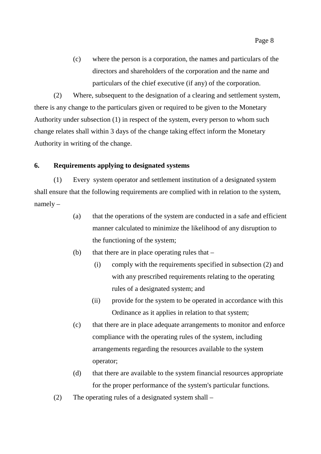(c) where the person is a corporation, the names and particulars of the directors and shareholders of the corporation and the name and particulars of the chief executive (if any) of the corporation.

(2) Where, subsequent to the designation of a clearing and settlement system, there is any change to the particulars given or required to be given to the Monetary Authority under subsection (1) in respect of the system, every person to whom such change relates shall within 3 days of the change taking effect inform the Monetary Authority in writing of the change.

#### **6. Requirements applying to designated systems**

(1) Every system operator and settlement institution of a designated system shall ensure that the following requirements are complied with in relation to the system, namely –

- (a) that the operations of the system are conducted in a safe and efficient manner calculated to minimize the likelihood of any disruption to the functioning of the system;
- (b) that there are in place operating rules that  $-$ 
	- (i) comply with the requirements specified in subsection (2) and with any prescribed requirements relating to the operating rules of a designated system; and
	- (ii) provide for the system to be operated in accordance with this Ordinance as it applies in relation to that system;
- (c) that there are in place adequate arrangements to monitor and enforce compliance with the operating rules of the system, including arrangements regarding the resources available to the system operator;
- (d) that there are available to the system financial resources appropriate for the proper performance of the system's particular functions.
- (2) The operating rules of a designated system shall –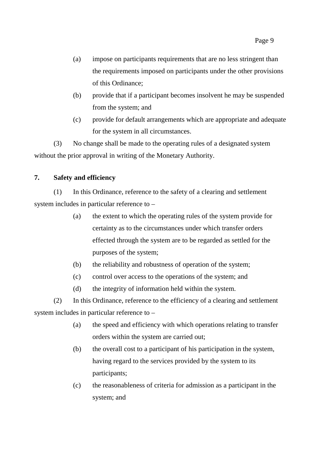- (a) impose on participants requirements that are no less stringent than the requirements imposed on participants under the other provisions of this Ordinance;
- (b) provide that if a participant becomes insolvent he may be suspended from the system; and
- (c) provide for default arrangements which are appropriate and adequate for the system in all circumstances.

(3) No change shall be made to the operating rules of a designated system without the prior approval in writing of the Monetary Authority.

## **7. Safety and efficiency**

(1) In this Ordinance, reference to the safety of a clearing and settlement system includes in particular reference to –

- (a) the extent to which the operating rules of the system provide for certainty as to the circumstances under which transfer orders effected through the system are to be regarded as settled for the purposes of the system;
- (b) the reliability and robustness of operation of the system;
- (c) control over access to the operations of the system; and
- (d) the integrity of information held within the system.

(2) In this Ordinance, reference to the efficiency of a clearing and settlement system includes in particular reference to –

- (a) the speed and efficiency with which operations relating to transfer orders within the system are carried out;
- (b) the overall cost to a participant of his participation in the system, having regard to the services provided by the system to its participants;
- (c) the reasonableness of criteria for admission as a participant in the system; and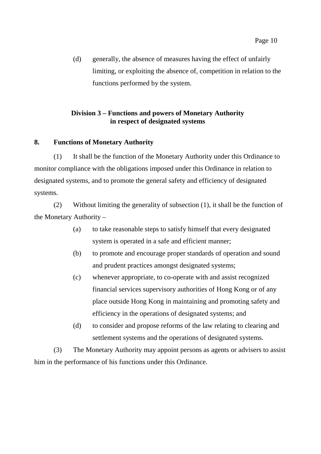(d) generally, the absence of measures having the effect of unfairly limiting, or exploiting the absence of, competition in relation to the functions performed by the system.

### **Division 3 – Functions and powers of Monetary Authority in respect of designated systems**

### **8. Functions of Monetary Authority**

(1) It shall be the function of the Monetary Authority under this Ordinance to monitor compliance with the obligations imposed under this Ordinance in relation to designated systems, and to promote the general safety and efficiency of designated systems.

(2) Without limiting the generality of subsection (1), it shall be the function of the Monetary Authority –

- (a) to take reasonable steps to satisfy himself that every designated system is operated in a safe and efficient manner;
- (b) to promote and encourage proper standards of operation and sound and prudent practices amongst designated systems;
- (c) whenever appropriate, to co-operate with and assist recognized financial services supervisory authorities of Hong Kong or of any place outside Hong Kong in maintaining and promoting safety and efficiency in the operations of designated systems; and
- (d) to consider and propose reforms of the law relating to clearing and settlement systems and the operations of designated systems.

(3) The Monetary Authority may appoint persons as agents or advisers to assist him in the performance of his functions under this Ordinance.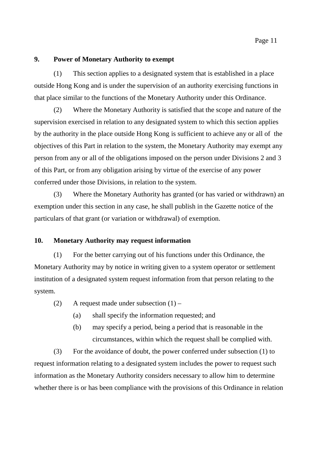### **9. Power of Monetary Authority to exempt**

(1) This section applies to a designated system that is established in a place outside Hong Kong and is under the supervision of an authority exercising functions in that place similar to the functions of the Monetary Authority under this Ordinance.

(2) Where the Monetary Authority is satisfied that the scope and nature of the supervision exercised in relation to any designated system to which this section applies by the authority in the place outside Hong Kong is sufficient to achieve any or all of the objectives of this Part in relation to the system, the Monetary Authority may exempt any person from any or all of the obligations imposed on the person under Divisions 2 and 3 of this Part, or from any obligation arising by virtue of the exercise of any power conferred under those Divisions, in relation to the system.

(3) Where the Monetary Authority has granted (or has varied or withdrawn) an exemption under this section in any case, he shall publish in the Gazette notice of the particulars of that grant (or variation or withdrawal) of exemption.

### **10. Monetary Authority may request information**

(1) For the better carrying out of his functions under this Ordinance, the Monetary Authority may by notice in writing given to a system operator or settlement institution of a designated system request information from that person relating to the system.

- (2) A request made under subsection  $(1)$ 
	- (a) shall specify the information requested; and
	- (b) may specify a period, being a period that is reasonable in the circumstances, within which the request shall be complied with.

(3) For the avoidance of doubt, the power conferred under subsection (1) to request information relating to a designated system includes the power to request such information as the Monetary Authority considers necessary to allow him to determine whether there is or has been compliance with the provisions of this Ordinance in relation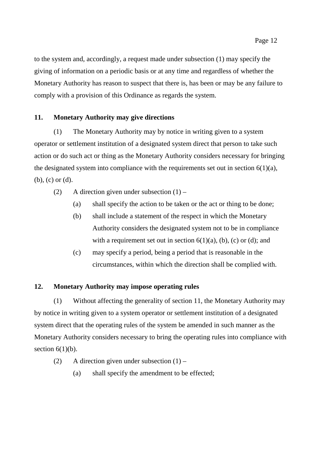to the system and, accordingly, a request made under subsection (1) may specify the giving of information on a periodic basis or at any time and regardless of whether the Monetary Authority has reason to suspect that there is, has been or may be any failure to comply with a provision of this Ordinance as regards the system.

### **11. Monetary Authority may give directions**

(1) The Monetary Authority may by notice in writing given to a system operator or settlement institution of a designated system direct that person to take such action or do such act or thing as the Monetary Authority considers necessary for bringing the designated system into compliance with the requirements set out in section  $6(1)(a)$ , (b), (c) or (d).

- (2) A direction given under subsection  $(1)$ 
	- (a) shall specify the action to be taken or the act or thing to be done;
	- (b) shall include a statement of the respect in which the Monetary Authority considers the designated system not to be in compliance with a requirement set out in section  $6(1)(a)$ , (b), (c) or (d); and
	- (c) may specify a period, being a period that is reasonable in the circumstances, within which the direction shall be complied with.

### **12. Monetary Authority may impose operating rules**

(1) Without affecting the generality of section 11, the Monetary Authority may by notice in writing given to a system operator or settlement institution of a designated system direct that the operating rules of the system be amended in such manner as the Monetary Authority considers necessary to bring the operating rules into compliance with section  $6(1)(b)$ .

- (2) A direction given under subsection  $(1)$ 
	- (a) shall specify the amendment to be effected;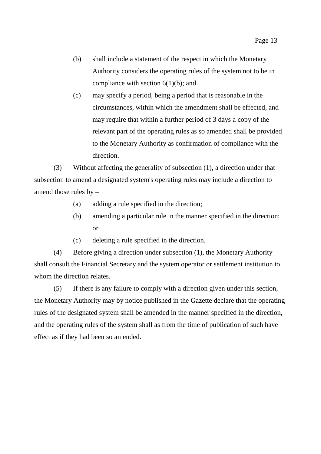- (b) shall include a statement of the respect in which the Monetary Authority considers the operating rules of the system not to be in compliance with section  $6(1)(b)$ ; and
- (c) may specify a period, being a period that is reasonable in the circumstances, within which the amendment shall be effected, and may require that within a further period of 3 days a copy of the relevant part of the operating rules as so amended shall be provided to the Monetary Authority as confirmation of compliance with the direction.

(3) Without affecting the generality of subsection (1), a direction under that subsection to amend a designated system's operating rules may include a direction to amend those rules by –

- (a) adding a rule specified in the direction;
- (b) amending a particular rule in the manner specified in the direction; or
- (c) deleting a rule specified in the direction.

(4) Before giving a direction under subsection (1), the Monetary Authority shall consult the Financial Secretary and the system operator or settlement institution to whom the direction relates.

(5) If there is any failure to comply with a direction given under this section, the Monetary Authority may by notice published in the Gazette declare that the operating rules of the designated system shall be amended in the manner specified in the direction, and the operating rules of the system shall as from the time of publication of such have effect as if they had been so amended.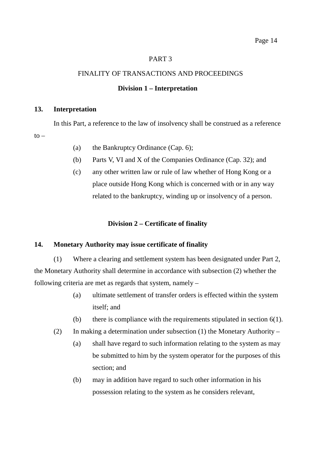#### PART 3

#### FINALITY OF TRANSACTIONS AND PROCEEDINGS

#### **Division 1 – Interpretation**

#### **13. Interpretation**

In this Part, a reference to the law of insolvency shall be construed as a reference  $to -$ 

- (a) the Bankruptcy Ordinance (Cap. 6);
- (b) Parts V, VI and X of the Companies Ordinance (Cap. 32); and
- (c) any other written law or rule of law whether of Hong Kong or a place outside Hong Kong which is concerned with or in any way related to the bankruptcy, winding up or insolvency of a person.

### **Division 2 – Certificate of finality**

### **14. Monetary Authority may issue certificate of finality**

(1) Where a clearing and settlement system has been designated under Part 2, the Monetary Authority shall determine in accordance with subsection (2) whether the following criteria are met as regards that system, namely –

- (a) ultimate settlement of transfer orders is effected within the system itself; and
- (b) there is compliance with the requirements stipulated in section  $6(1)$ .
- (2) In making a determination under subsection (1) the Monetary Authority
	- (a) shall have regard to such information relating to the system as may be submitted to him by the system operator for the purposes of this section; and
	- (b) may in addition have regard to such other information in his possession relating to the system as he considers relevant,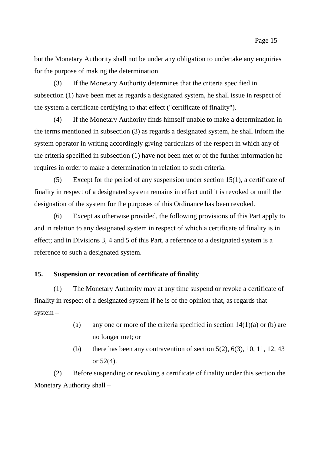but the Monetary Authority shall not be under any obligation to undertake any enquiries for the purpose of making the determination.

(3) If the Monetary Authority determines that the criteria specified in subsection (1) have been met as regards a designated system, he shall issue in respect of the system a certificate certifying to that effect ("certificate of finality").

(4) If the Monetary Authority finds himself unable to make a determination in the terms mentioned in subsection (3) as regards a designated system, he shall inform the system operator in writing accordingly giving particulars of the respect in which any of the criteria specified in subsection (1) have not been met or of the further information he requires in order to make a determination in relation to such criteria.

(5) Except for the period of any suspension under section 15(1), a certificate of finality in respect of a designated system remains in effect until it is revoked or until the designation of the system for the purposes of this Ordinance has been revoked.

(6) Except as otherwise provided, the following provisions of this Part apply to and in relation to any designated system in respect of which a certificate of finality is in effect; and in Divisions 3, 4 and 5 of this Part, a reference to a designated system is a reference to such a designated system.

#### **15. Suspension or revocation of certificate of finality**

(1) The Monetary Authority may at any time suspend or revoke a certificate of finality in respect of a designated system if he is of the opinion that, as regards that system –

- (a) any one or more of the criteria specified in section  $14(1)(a)$  or (b) are no longer met; or
- (b) there has been any contravention of section  $5(2)$ ,  $6(3)$ ,  $10$ ,  $11$ ,  $12$ ,  $43$ or 52(4).

(2) Before suspending or revoking a certificate of finality under this section the Monetary Authority shall –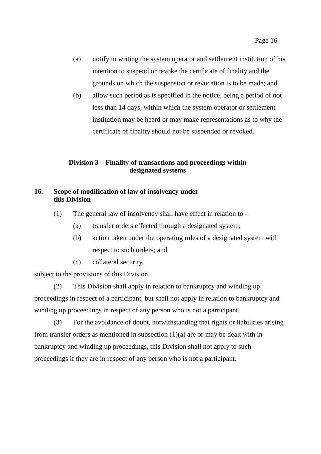- (a) notify in writing the system operator and settlement institution of his intention to suspend or revoke the certificate of finality and the grounds on which the suspension or revocation is to be made; and
- (b) allow such period as is specified in the notice, being a period of not less than 14 days, within which the system operator or settlement institution may be heard or may make representations as to why the certificate of finality should not be suspended or revoked.

### **Division 3 – Finality of transactions and proceedings within designated systems**

### **16. Scope of modification of law of insolvency under this Division**

- (1) The general law of insolvency shall have effect in relation to  $-$ 
	- (a) transfer orders effected through a designated system;
	- (b) action taken under the operating rules of a designated system with respect to such orders; and
	- (c) collateral security,

subject to the provisions of this Division.

(2) This Division shall apply in relation to bankruptcy and winding up proceedings in respect of a participant, but shall not apply in relation to bankruptcy and winding up proceedings in respect of any person who is not a participant.

(3) For the avoidance of doubt, notwithstanding that rights or liabilities arising from transfer orders as mentioned in subsection  $(1)(a)$  are or may be dealt with in bankruptcy and winding up proceedings, this Division shall not apply to such proceedings if they are in respect of any person who is not a participant.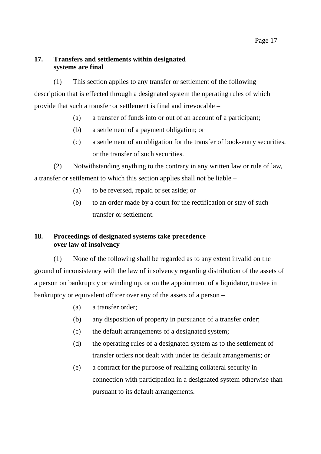## **17. Transfers and settlements within designated systems are final**

(1) This section applies to any transfer or settlement of the following description that is effected through a designated system the operating rules of which provide that such a transfer or settlement is final and irrevocable –

- (a) a transfer of funds into or out of an account of a participant;
- (b) a settlement of a payment obligation; or
- (c) a settlement of an obligation for the transfer of book-entry securities, or the transfer of such securities.

(2) Notwithstanding anything to the contrary in any written law or rule of law, a transfer or settlement to which this section applies shall not be liable –

- (a) to be reversed, repaid or set aside; or
- (b) to an order made by a court for the rectification or stay of such transfer or settlement.

## **18. Proceedings of designated systems take precedence over law of insolvency**

(1) None of the following shall be regarded as to any extent invalid on the ground of inconsistency with the law of insolvency regarding distribution of the assets of a person on bankruptcy or winding up, or on the appointment of a liquidator, trustee in bankruptcy or equivalent officer over any of the assets of a person –

- (a) a transfer order;
- (b) any disposition of property in pursuance of a transfer order;
- (c) the default arrangements of a designated system;
- (d) the operating rules of a designated system as to the settlement of transfer orders not dealt with under its default arrangements; or
- (e) a contract for the purpose of realizing collateral security in connection with participation in a designated system otherwise than pursuant to its default arrangements.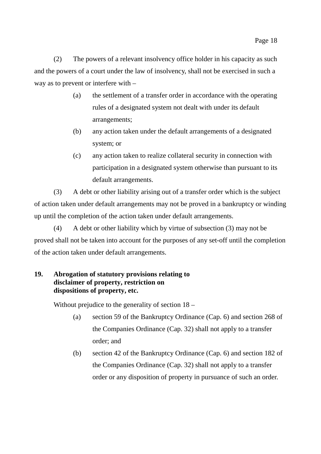(2) The powers of a relevant insolvency office holder in his capacity as such and the powers of a court under the law of insolvency, shall not be exercised in such a way as to prevent or interfere with –

- (a) the settlement of a transfer order in accordance with the operating rules of a designated system not dealt with under its default arrangements;
- (b) any action taken under the default arrangements of a designated system; or
- (c) any action taken to realize collateral security in connection with participation in a designated system otherwise than pursuant to its default arrangements.

(3) A debt or other liability arising out of a transfer order which is the subject of action taken under default arrangements may not be proved in a bankruptcy or winding up until the completion of the action taken under default arrangements.

(4) A debt or other liability which by virtue of subsection (3) may not be proved shall not be taken into account for the purposes of any set-off until the completion of the action taken under default arrangements.

## **19. Abrogation of statutory provisions relating to disclaimer of property, restriction on dispositions of property, etc.**

Without prejudice to the generality of section 18 –

- (a) section 59 of the Bankruptcy Ordinance (Cap. 6) and section 268 of the Companies Ordinance (Cap. 32) shall not apply to a transfer order; and
- (b) section 42 of the Bankruptcy Ordinance (Cap. 6) and section 182 of the Companies Ordinance (Cap. 32) shall not apply to a transfer order or any disposition of property in pursuance of such an order.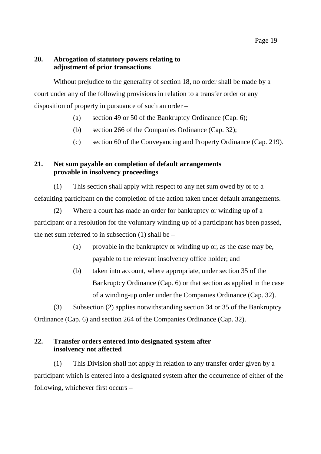### **20. Abrogation of statutory powers relating to adjustment of prior transactions**

Without prejudice to the generality of section 18, no order shall be made by a court under any of the following provisions in relation to a transfer order or any disposition of property in pursuance of such an order –

- (a) section 49 or 50 of the Bankruptcy Ordinance (Cap. 6);
- (b) section 266 of the Companies Ordinance (Cap. 32);
- (c) section 60 of the Conveyancing and Property Ordinance (Cap. 219).

## **21. Net sum payable on completion of default arrangements provable in insolvency proceedings**

(1) This section shall apply with respect to any net sum owed by or to a defaulting participant on the completion of the action taken under default arrangements.

(2) Where a court has made an order for bankruptcy or winding up of a participant or a resolution for the voluntary winding up of a participant has been passed, the net sum referred to in subsection  $(1)$  shall be –

- (a) provable in the bankruptcy or winding up or, as the case may be, payable to the relevant insolvency office holder; and
- (b) taken into account, where appropriate, under section 35 of the Bankruptcy Ordinance (Cap. 6) or that section as applied in the case of a winding-up order under the Companies Ordinance (Cap. 32).

(3) Subsection (2) applies notwithstanding section 34 or 35 of the Bankruptcy Ordinance (Cap. 6) and section 264 of the Companies Ordinance (Cap. 32).

## **22. Transfer orders entered into designated system after insolvency not affected**

(1) This Division shall not apply in relation to any transfer order given by a participant which is entered into a designated system after the occurrence of either of the following, whichever first occurs –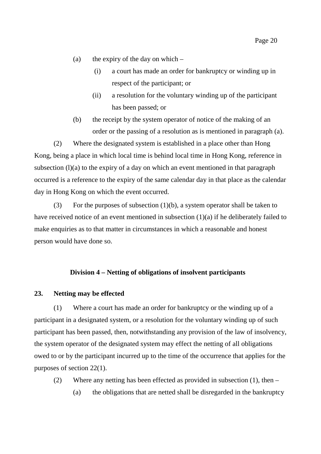- (a) the expiry of the day on which
	- (i) a court has made an order for bankruptcy or winding up in respect of the participant; or
	- (ii) a resolution for the voluntary winding up of the participant has been passed; or
- (b) the receipt by the system operator of notice of the making of an order or the passing of a resolution as is mentioned in paragraph (a).

(2) Where the designated system is established in a place other than Hong Kong, being a place in which local time is behind local time in Hong Kong, reference in subsection  $(l)(a)$  to the expiry of a day on which an event mentioned in that paragraph occurred is a reference to the expiry of the same calendar day in that place as the calendar day in Hong Kong on which the event occurred.

(3) For the purposes of subsection  $(1)(b)$ , a system operator shall be taken to have received notice of an event mentioned in subsection (1)(a) if he deliberately failed to make enquiries as to that matter in circumstances in which a reasonable and honest person would have done so.

#### **Division 4 – Netting of obligations of insolvent participants**

### **23. Netting may be effected**

(1) Where a court has made an order for bankruptcy or the winding up of a participant in a designated system, or a resolution for the voluntary winding up of such participant has been passed, then, notwithstanding any provision of the law of insolvency, the system operator of the designated system may effect the netting of all obligations owed to or by the participant incurred up to the time of the occurrence that applies for the purposes of section 22(1).

(2) Where any netting has been effected as provided in subsection (1), then –

(a) the obligations that are netted shall be disregarded in the bankruptcy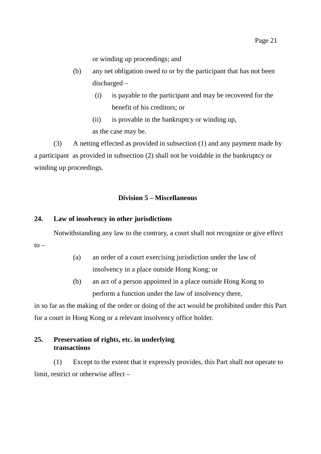or winding up proceedings; and

- (b) any net obligation owed to or by the participant that has not been discharged –
	- (i) is payable to the participant and may be recovered for the benefit of his creditors; or
	- (ii) is provable in the bankruptcy or winding up, as the case may be.

(3) A netting effected as provided in subsection (1) and any payment made by a participant as provided in subsection (2) shall not be voidable in the bankruptcy or winding up proceedings.

### **Division 5 – Miscellaneous**

#### **24. Law of insolvency in other jurisdictions**

Notwithstanding any law to the contrary, a court shall not recognize or give effect

 $to -$ 

- (a) an order of a court exercising jurisdiction under the law of insolvency in a place outside Hong Kong; or
- (b) an act of a person appointed in a place outside Hong Kong to perform a function under the law of insolvency there,

in so far as the making of the order or doing of the act would be prohibited under this Part for a court in Hong Kong or a relevant insolvency office holder.

### **25. Preservation of rights, etc. in underlying transactions**

(1) Except to the extent that it expressly provides, this Part shall not operate to limit, restrict or otherwise affect –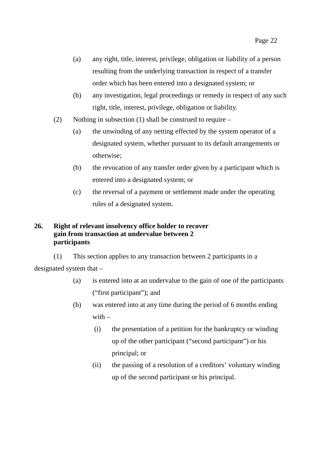- (a) any right, title, interest, privilege, obligation or liability of a person resulting from the underlying transaction in respect of a transfer order which has been entered into a designated system; or
- (b) any investigation, legal proceedings or remedy in respect of any such right, title, interest, privilege, obligation or liability.
- (2) Nothing in subsection (1) shall be construed to require
	- (a) the unwinding of any netting effected by the system operator of a designated system, whether pursuant to its default arrangements or otherwise;
	- (b) the revocation of any transfer order given by a participant which is entered into a designated system; or
	- (c) the reversal of a payment or settlement made under the operating rules of a designated system.

### **26. Right of relevant insolvency office holder to recover gain from transaction at undervalue between 2 participants**

(1) This section applies to any transaction between 2 participants in a designated system that –

- (a) is entered into at an undervalue to the gain of one of the participants ("first participant"); and
- (b) was entered into at any time during the period of 6 months ending with  $-$ 
	- (i) the presentation of a petition for the bankruptcy or winding up of the other participant ("second participant") or his principal; or
	- (ii) the passing of a resolution of a creditors' voluntary winding up of the second participant or his principal.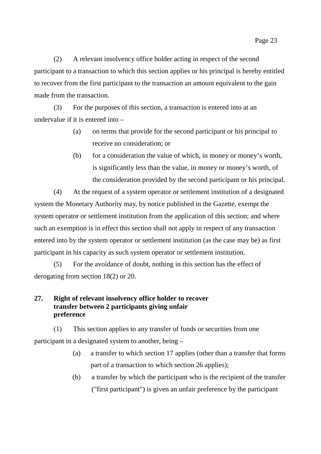(2) A relevant insolvency office holder acting in respect of the second participant to a transaction to which this section applies or his principal is hereby entitled to recover from the first participant to the transaction an amount equivalent to the gain made from the transaction.

(3) For the purposes of this section, a transaction is entered into at an undervalue if it is entered into –

- (a) on terms that provide for the second participant or his principal to receive no consideration; or
- (b) for a consideration the value of which, in money or money's worth, is significantly less than the value, in money or money's worth, of the consideration provided by the second participant or his principal.

(4) At the request of a system operator or settlement institution of a designated system the Monetary Authority may, by notice published in the Gazette, exempt the system operator or settlement institution from the application of this section; and where such an exemption is in effect this section shall not apply in respect of any transaction entered into by the system operator or settlement institution (as the case may be) as first participant in his capacity as such system operator or settlement institution.

(5) For the avoidance of doubt, nothing in this section has the effect of derogating from section 18(2) or 20.

## **27. Right of relevant insolvency office holder to recover transfer between 2 participants giving unfair preference**

(1) This section applies to any transfer of funds or securities from one participant in a designated system to another, being –

- (a) a transfer to which section 17 applies (other than a transfer that forms part of a transaction to which section 26 applies);
- (b) a transfer by which the participant who is the recipient of the transfer ("first participant") is given an unfair preference by the participant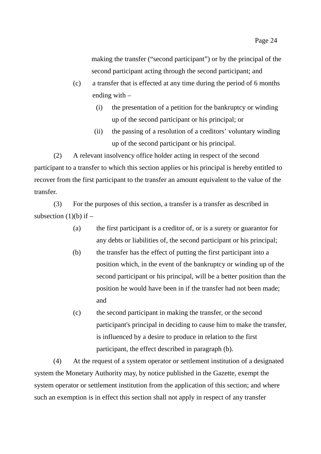making the transfer ("second participant") or by the principal of the second participant acting through the second participant; and

- (c) a transfer that is effected at any time during the period of 6 months ending with –
	- (i) the presentation of a petition for the bankruptcy or winding up of the second participant or his principal; or
	- (ii) the passing of a resolution of a creditors' voluntary winding up of the second participant or his principal.

(2) A relevant insolvency office holder acting in respect of the second participant to a transfer to which this section applies or his principal is hereby entitled to recover from the first participant to the transfer an amount equivalent to the value of the transfer.

(3) For the purposes of this section, a transfer is a transfer as described in subsection  $(1)(b)$  if  $-$ 

- (a) the first participant is a creditor of, or is a surety or guarantor for any debts or liabilities of, the second participant or his principal;
- (b) the transfer has the effect of putting the first participant into a position which, in the event of the bankruptcy or winding up of the second participant or his principal, will be a better position than the position he would have been in if the transfer had not been made; and
- (c) the second participant in making the transfer, or the second participant's principal in deciding to cause him to make the transfer, is influenced by a desire to produce in relation to the first participant, the effect described in paragraph (b).

(4) At the request of a system operator or settlement institution of a designated system the Monetary Authority may, by notice published in the Gazette, exempt the system operator or settlement institution from the application of this section; and where such an exemption is in effect this section shall not apply in respect of any transfer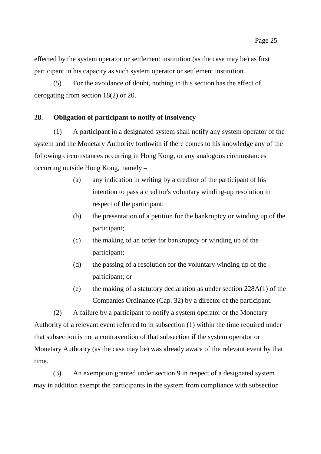effected by the system operator or settlement institution (as the case may be) as first participant in his capacity as such system operator or settlement institution.

(5) For the avoidance of doubt, nothing in this section has the effect of derogating from section 18(2) or 20.

## **28. Obligation of participant to notify of insolvency**

(1) A participant in a designated system shall notify any system operator of the system and the Monetary Authority forthwith if there comes to his knowledge any of the following circumstances occurring in Hong Kong, or any analogous circumstances occurring outside Hong Kong, namely –

- (a) any indication in writing by a creditor of the participant of his intention to pass a creditor's voluntary winding-up resolution in respect of the participant;
- (b) the presentation of a petition for the bankruptcy or winding up of the participant;
- (c) the making of an order for bankruptcy or winding up of the participant;
- (d) the passing of a resolution for the voluntary winding up of the participant; or
- (e) the making of a statutory declaration as under section 228A(1) of the Companies Ordinance (Cap. 32) by a director of the participant.

(2) A failure by a participant to notify a system operator or the Monetary Authority of a relevant event referred to in subsection (1) within the time required under that subsection is not a contravention of that subsection if the system operator or Monetary Authority (as the case may be) was already aware of the relevant event by that time.

(3) An exemption granted under section 9 in respect of a designated system may in addition exempt the participants in the system from compliance with subsection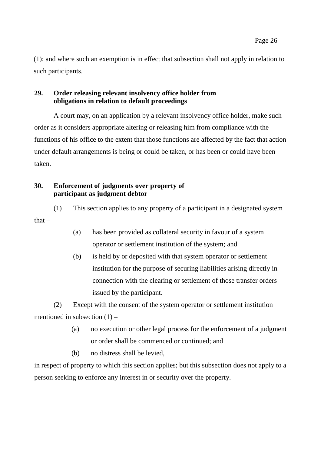(1); and where such an exemption is in effect that subsection shall not apply in relation to such participants.

## **29. Order releasing relevant insolvency office holder from obligations in relation to default proceedings**

A court may, on an application by a relevant insolvency office holder, make such order as it considers appropriate altering or releasing him from compliance with the functions of his office to the extent that those functions are affected by the fact that action under default arrangements is being or could be taken, or has been or could have been taken.

## **30. Enforcement of judgments over property of participant as judgment debtor**

(1) This section applies to any property of a participant in a designated system that –

- (a) has been provided as collateral security in favour of a system operator or settlement institution of the system; and
- (b) is held by or deposited with that system operator or settlement institution for the purpose of securing liabilities arising directly in connection with the clearing or settlement of those transfer orders issued by the participant.

(2) Except with the consent of the system operator or settlement institution mentioned in subsection  $(1)$  –

- (a) no execution or other legal process for the enforcement of a judgment or order shall be commenced or continued; and
- (b) no distress shall be levied,

in respect of property to which this section applies; but this subsection does not apply to a person seeking to enforce any interest in or security over the property.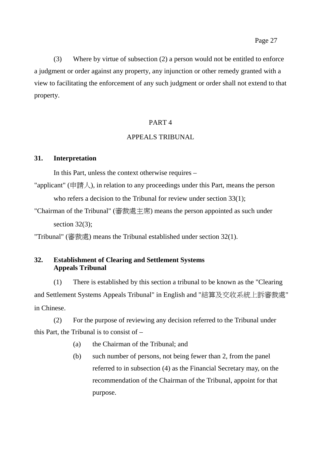(3) Where by virtue of subsection (2) a person would not be entitled to enforce a judgment or order against any property, any injunction or other remedy granted with a view to facilitating the enforcement of any such judgment or order shall not extend to that property.

## PART 4

## APPEALS TRIBUNAL

## **31. Interpretation**

In this Part, unless the context otherwise requires –

- "applicant" (申請人), in relation to any proceedings under this Part, means the person who refers a decision to the Tribunal for review under section 33(1):
- "Chairman of the Tribunal" (審裁處主席) means the person appointed as such under section 32(3);

"Tribunal" (審裁處) means the Tribunal established under section 32(1).

## **32. Establishment of Clearing and Settlement Systems Appeals Tribunal**

(1) There is established by this section a tribunal to be known as the "Clearing and Settlement Systems Appeals Tribunal" in English and "結算及交收系統上訴審裁處" in Chinese.

(2) For the purpose of reviewing any decision referred to the Tribunal under this Part, the Tribunal is to consist of –

- (a) the Chairman of the Tribunal; and
- (b) such number of persons, not being fewer than 2, from the panel referred to in subsection (4) as the Financial Secretary may, on the recommendation of the Chairman of the Tribunal, appoint for that purpose.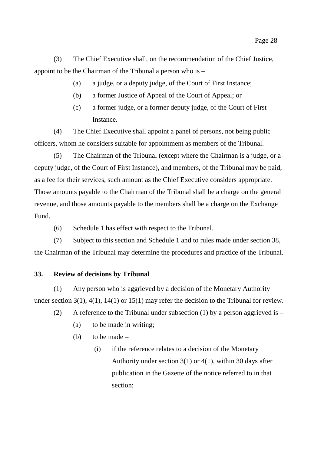(3) The Chief Executive shall, on the recommendation of the Chief Justice, appoint to be the Chairman of the Tribunal a person who is –

- (a) a judge, or a deputy judge, of the Court of First Instance;
- (b) a former Justice of Appeal of the Court of Appeal; or
- (c) a former judge, or a former deputy judge, of the Court of First Instance.

(4) The Chief Executive shall appoint a panel of persons, not being public officers, whom he considers suitable for appointment as members of the Tribunal.

(5) The Chairman of the Tribunal (except where the Chairman is a judge, or a deputy judge, of the Court of First Instance), and members, of the Tribunal may be paid, as a fee for their services, such amount as the Chief Executive considers appropriate. Those amounts payable to the Chairman of the Tribunal shall be a charge on the general revenue, and those amounts payable to the members shall be a charge on the Exchange Fund.

(6) Schedule 1 has effect with respect to the Tribunal.

(7) Subject to this section and Schedule 1 and to rules made under section 38, the Chairman of the Tribunal may determine the procedures and practice of the Tribunal.

## **33. Review of decisions by Tribunal**

(1) Any person who is aggrieved by a decision of the Monetary Authority under section 3(1), 4(1), 14(1) or 15(1) may refer the decision to the Tribunal for review.

- (2) A reference to the Tribunal under subsection (1) by a person aggrieved is  $-$ 
	- (a) to be made in writing;
	- (b) to be made  $-$ 
		- (i) if the reference relates to a decision of the Monetary Authority under section  $3(1)$  or  $4(1)$ , within 30 days after publication in the Gazette of the notice referred to in that section;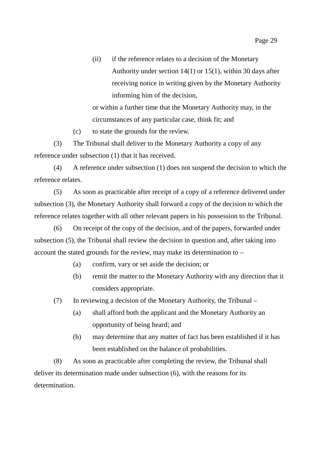(ii) if the reference relates to a decision of the Monetary Authority under section 14(1) or 15(1), within 30 days after receiving notice in writing given by the Monetary Authority informing him of the decision,

or within a further time that the Monetary Authority may, in the circumstances of any particular case, think fit; and

(c) to state the grounds for the review.

(3) The Tribunal shall deliver to the Monetary Authority a copy of any reference under subsection (1) that it has received.

(4) A reference under subsection (1) does not suspend the decision to which the reference relates.

(5) As soon as practicable after receipt of a copy of a reference delivered under subsection (3), the Monetary Authority shall forward a copy of the decision to which the reference relates together with all other relevant papers in his possession to the Tribunal.

(6) On receipt of the copy of the decision, and of the papers, forwarded under subsection (5), the Tribunal shall review the decision in question and, after taking into account the stated grounds for the review, may make its determination to –

- (a) confirm, vary or set aside the decision; or
- (b) remit the matter to the Monetary Authority with any direction that it considers appropriate.

(7) In reviewing a decision of the Monetary Authority, the Tribunal –

- (a) shall afford both the applicant and the Monetary Authority an opportunity of being heard; and
- (b) may determine that any matter of fact has been established if it has been established on the balance of probabilities.

(8) As soon as practicable after completing the review, the Tribunal shall deliver its determination made under subsection (6), with the reasons for its determination.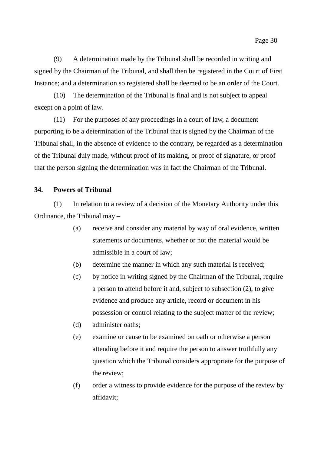(9) A determination made by the Tribunal shall be recorded in writing and signed by the Chairman of the Tribunal, and shall then be registered in the Court of First Instance; and a determination so registered shall be deemed to be an order of the Court.

(10) The determination of the Tribunal is final and is not subject to appeal except on a point of law.

(11) For the purposes of any proceedings in a court of law, a document purporting to be a determination of the Tribunal that is signed by the Chairman of the Tribunal shall, in the absence of evidence to the contrary, be regarded as a determination of the Tribunal duly made, without proof of its making, or proof of signature, or proof that the person signing the determination was in fact the Chairman of the Tribunal.

#### **34. Powers of Tribunal**

(1) In relation to a review of a decision of the Monetary Authority under this Ordinance, the Tribunal may –

- (a) receive and consider any material by way of oral evidence, written statements or documents, whether or not the material would be admissible in a court of law;
- (b) determine the manner in which any such material is received;
- (c) by notice in writing signed by the Chairman of the Tribunal, require a person to attend before it and, subject to subsection (2), to give evidence and produce any article, record or document in his possession or control relating to the subject matter of the review;
- (d) administer oaths;
- (e) examine or cause to be examined on oath or otherwise a person attending before it and require the person to answer truthfully any question which the Tribunal considers appropriate for the purpose of the review;
- (f) order a witness to provide evidence for the purpose of the review by affidavit;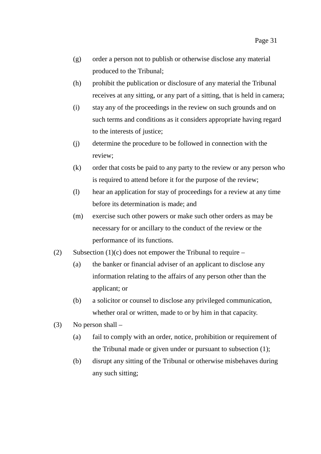- (g) order a person not to publish or otherwise disclose any material produced to the Tribunal;
- (h) prohibit the publication or disclosure of any material the Tribunal receives at any sitting, or any part of a sitting, that is held in camera;
- (i) stay any of the proceedings in the review on such grounds and on such terms and conditions as it considers appropriate having regard to the interests of justice;
- (j) determine the procedure to be followed in connection with the review;
- (k) order that costs be paid to any party to the review or any person who is required to attend before it for the purpose of the review;
- (l) hear an application for stay of proceedings for a review at any time before its determination is made; and
- (m) exercise such other powers or make such other orders as may be necessary for or ancillary to the conduct of the review or the performance of its functions.
- (2) Subsection (1)(c) does not empower the Tribunal to require
	- (a) the banker or financial adviser of an applicant to disclose any information relating to the affairs of any person other than the applicant; or
	- (b) a solicitor or counsel to disclose any privileged communication, whether oral or written, made to or by him in that capacity.
- (3) No person shall
	- (a) fail to comply with an order, notice, prohibition or requirement of the Tribunal made or given under or pursuant to subsection (1);
	- (b) disrupt any sitting of the Tribunal or otherwise misbehaves during any such sitting;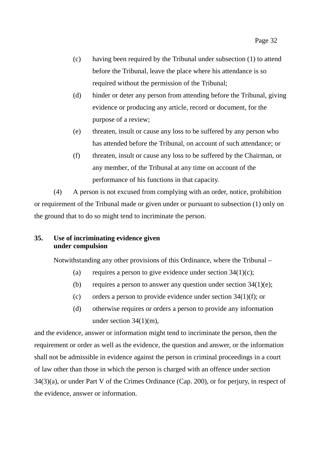- (c) having been required by the Tribunal under subsection (1) to attend before the Tribunal, leave the place where his attendance is so required without the permission of the Tribunal;
- (d) hinder or deter any person from attending before the Tribunal, giving evidence or producing any article, record or document, for the purpose of a review;
- (e) threaten, insult or cause any loss to be suffered by any person who has attended before the Tribunal, on account of such attendance; or
- (f) threaten, insult or cause any loss to be suffered by the Chairman, or any member, of the Tribunal at any time on account of the performance of his functions in that capacity.

(4) A person is not excused from complying with an order, notice, prohibition or requirement of the Tribunal made or given under or pursuant to subsection (1) only on the ground that to do so might tend to incriminate the person.

## **35. Use of incriminating evidence given under compulsion**

Notwithstanding any other provisions of this Ordinance, where the Tribunal –

- (a) requires a person to give evidence under section  $34(1)(c)$ ;
- (b) requires a person to answer any question under section  $34(1)(e)$ ;
- (c) orders a person to provide evidence under section  $34(1)(f)$ ; or
- (d) otherwise requires or orders a person to provide any information under section 34(1)(m),

and the evidence, answer or information might tend to incriminate the person, then the requirement or order as well as the evidence, the question and answer, or the information shall not be admissible in evidence against the person in criminal proceedings in a court of law other than those in which the person is charged with an offence under section 34(3)(a), or under Part V of the Crimes Ordinance (Cap. 200), or for perjury, in respect of the evidence, answer or information.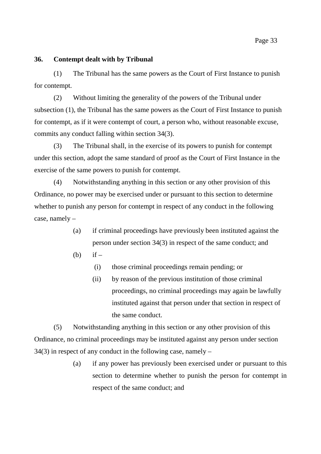#### **36. Contempt dealt with by Tribunal**

(1) The Tribunal has the same powers as the Court of First Instance to punish for contempt.

(2) Without limiting the generality of the powers of the Tribunal under subsection (1), the Tribunal has the same powers as the Court of First Instance to punish for contempt, as if it were contempt of court, a person who, without reasonable excuse, commits any conduct falling within section 34(3).

(3) The Tribunal shall, in the exercise of its powers to punish for contempt under this section, adopt the same standard of proof as the Court of First Instance in the exercise of the same powers to punish for contempt.

(4) Notwithstanding anything in this section or any other provision of this Ordinance, no power may be exercised under or pursuant to this section to determine whether to punish any person for contempt in respect of any conduct in the following case, namely –

- (a) if criminal proceedings have previously been instituted against the person under section 34(3) in respect of the same conduct; and
- (b) if  $-$ 
	- (i) those criminal proceedings remain pending; or
	- (ii) by reason of the previous institution of those criminal proceedings, no criminal proceedings may again be lawfully instituted against that person under that section in respect of the same conduct.

(5) Notwithstanding anything in this section or any other provision of this Ordinance, no criminal proceedings may be instituted against any person under section  $34(3)$  in respect of any conduct in the following case, namely –

> (a) if any power has previously been exercised under or pursuant to this section to determine whether to punish the person for contempt in respect of the same conduct; and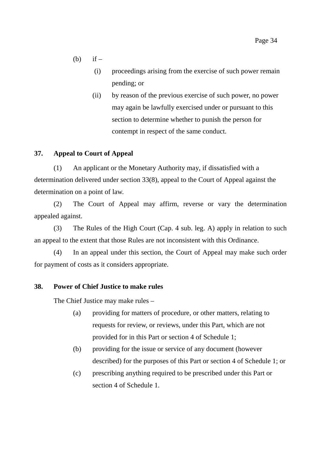- $(b)$  if
	- (i) proceedings arising from the exercise of such power remain pending; or
	- (ii) by reason of the previous exercise of such power, no power may again be lawfully exercised under or pursuant to this section to determine whether to punish the person for contempt in respect of the same conduct.

## **37. Appeal to Court of Appeal**

(1) An applicant or the Monetary Authority may, if dissatisfied with a determination delivered under section 33(8), appeal to the Court of Appeal against the determination on a point of law.

(2) The Court of Appeal may affirm, reverse or vary the determination appealed against.

(3) The Rules of the High Court (Cap. 4 sub. leg. A) apply in relation to such an appeal to the extent that those Rules are not inconsistent with this Ordinance.

(4) In an appeal under this section, the Court of Appeal may make such order for payment of costs as it considers appropriate.

## **38. Power of Chief Justice to make rules**

The Chief Justice may make rules –

- (a) providing for matters of procedure, or other matters, relating to requests for review, or reviews, under this Part, which are not provided for in this Part or section 4 of Schedule 1;
- (b) providing for the issue or service of any document (however described) for the purposes of this Part or section 4 of Schedule 1; or
- (c) prescribing anything required to be prescribed under this Part or section 4 of Schedule 1.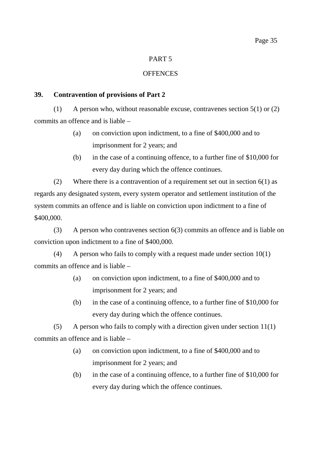## PART 5

## **OFFENCES**

## **39. Contravention of provisions of Part 2**

(1) A person who, without reasonable excuse, contravenes section  $5(1)$  or  $(2)$ commits an offence and is liable –

- (a) on conviction upon indictment, to a fine of \$400,000 and to imprisonment for 2 years; and
- (b) in the case of a continuing offence, to a further fine of \$10,000 for every day during which the offence continues.

(2) Where there is a contravention of a requirement set out in section  $6(1)$  as regards any designated system, every system operator and settlement institution of the system commits an offence and is liable on conviction upon indictment to a fine of \$400,000.

(3) A person who contravenes section 6(3) commits an offence and is liable on conviction upon indictment to a fine of \$400,000.

(4) A person who fails to comply with a request made under section  $10(1)$ commits an offence and is liable –

- (a) on conviction upon indictment, to a fine of \$400,000 and to imprisonment for 2 years; and
- (b) in the case of a continuing offence, to a further fine of \$10,000 for every day during which the offence continues.

(5) A person who fails to comply with a direction given under section 11(1) commits an offence and is liable –

- (a) on conviction upon indictment, to a fine of \$400,000 and to imprisonment for 2 years; and
- (b) in the case of a continuing offence, to a further fine of \$10,000 for every day during which the offence continues.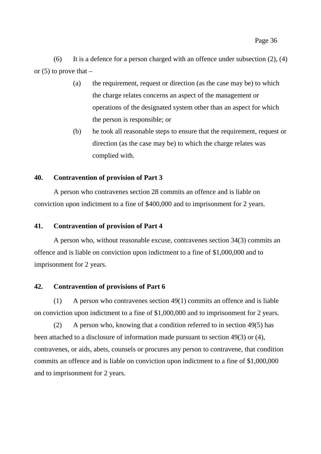(6) It is a defence for a person charged with an offence under subsection  $(2)$ ,  $(4)$ or  $(5)$  to prove that  $-$ 

- (a) the requirement, request or direction (as the case may be) to which the charge relates concerns an aspect of the management or operations of the designated system other than an aspect for which the person is responsible; or
- (b) he took all reasonable steps to ensure that the requirement, request or direction (as the case may be) to which the charge relates was complied with.

## **40. Contravention of provision of Part 3**

A person who contravenes section 28 commits an offence and is liable on conviction upon indictment to a fine of \$400,000 and to imprisonment for 2 years.

#### **41. Contravention of provision of Part 4**

A person who, without reasonable excuse, contravenes section 34(3) commits an offence and is liable on conviction upon indictment to a fine of \$1,000,000 and to imprisonment for 2 years.

#### **42. Contravention of provisions of Part 6**

(1) A person who contravenes section 49(1) commits an offence and is liable on conviction upon indictment to a fine of \$1,000,000 and to imprisonment for 2 years.

(2) A person who, knowing that a condition referred to in section 49(5) has been attached to a disclosure of information made pursuant to section 49(3) or (4), contravenes, or aids, abets, counsels or procures any person to contravene, that condition commits an offence and is liable on conviction upon indictment to a fine of \$1,000,000 and to imprisonment for 2 years.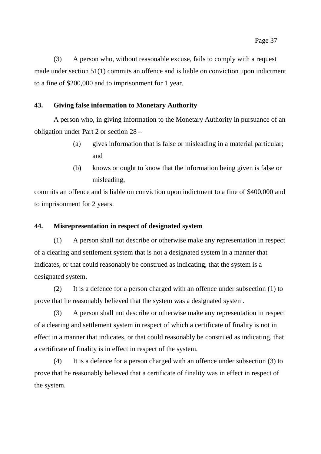(3) A person who, without reasonable excuse, fails to comply with a request made under section 51(1) commits an offence and is liable on conviction upon indictment to a fine of \$200,000 and to imprisonment for 1 year.

## **43. Giving false information to Monetary Authority**

A person who, in giving information to the Monetary Authority in pursuance of an obligation under Part 2 or section 28 –

- (a) gives information that is false or misleading in a material particular; and
- (b) knows or ought to know that the information being given is false or misleading,

commits an offence and is liable on conviction upon indictment to a fine of \$400,000 and to imprisonment for 2 years.

#### **44. Misrepresentation in respect of designated system**

(1) A person shall not describe or otherwise make any representation in respect of a clearing and settlement system that is not a designated system in a manner that indicates, or that could reasonably be construed as indicating, that the system is a designated system.

(2) It is a defence for a person charged with an offence under subsection (1) to prove that he reasonably believed that the system was a designated system.

(3) A person shall not describe or otherwise make any representation in respect of a clearing and settlement system in respect of which a certificate of finality is not in effect in a manner that indicates, or that could reasonably be construed as indicating, that a certificate of finality is in effect in respect of the system.

(4) It is a defence for a person charged with an offence under subsection (3) to prove that he reasonably believed that a certificate of finality was in effect in respect of the system.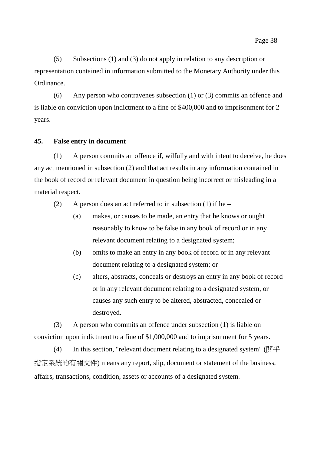(5) Subsections (1) and (3) do not apply in relation to any description or representation contained in information submitted to the Monetary Authority under this Ordinance.

(6) Any person who contravenes subsection (1) or (3) commits an offence and is liable on conviction upon indictment to a fine of \$400,000 and to imprisonment for 2 years.

#### **45. False entry in document**

(1) A person commits an offence if, wilfully and with intent to deceive, he does any act mentioned in subsection (2) and that act results in any information contained in the book of record or relevant document in question being incorrect or misleading in a material respect.

(2) A person does an act referred to in subsection (1) if he –

- (a) makes, or causes to be made, an entry that he knows or ought reasonably to know to be false in any book of record or in any relevant document relating to a designated system;
- (b) omits to make an entry in any book of record or in any relevant document relating to a designated system; or
- (c) alters, abstracts, conceals or destroys an entry in any book of record or in any relevant document relating to a designated system, or causes any such entry to be altered, abstracted, concealed or destroyed.

(3) A person who commits an offence under subsection (1) is liable on conviction upon indictment to a fine of \$1,000,000 and to imprisonment for 5 years.

(4) In this section, "relevant document relating to a designated system" (關乎 指定系統的有關文件) means any report, slip, document or statement of the business, affairs, transactions, condition, assets or accounts of a designated system.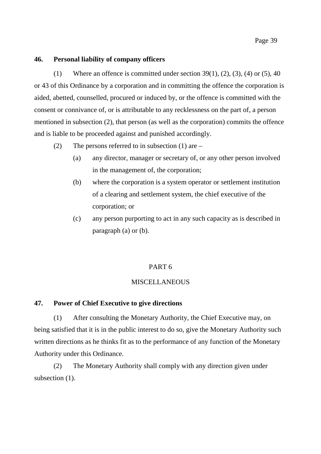## Page 39

#### **46. Personal liability of company officers**

(1) Where an offence is committed under section  $39(1)$ ,  $(2)$ ,  $(3)$ ,  $(4)$  or  $(5)$ ,  $40$ or 43 of this Ordinance by a corporation and in committing the offence the corporation is aided, abetted, counselled, procured or induced by, or the offence is committed with the consent or connivance of, or is attributable to any recklessness on the part of, a person mentioned in subsection (2), that person (as well as the corporation) commits the offence and is liable to be proceeded against and punished accordingly.

- (2) The persons referred to in subsection (1) are
	- (a) any director, manager or secretary of, or any other person involved in the management of, the corporation;
	- (b) where the corporation is a system operator or settlement institution of a clearing and settlement system, the chief executive of the corporation; or
	- (c) any person purporting to act in any such capacity as is described in paragraph (a) or (b).

## PART 6

## **MISCELLANEOUS**

## **47. Power of Chief Executive to give directions**

(1) After consulting the Monetary Authority, the Chief Executive may, on being satisfied that it is in the public interest to do so, give the Monetary Authority such written directions as he thinks fit as to the performance of any function of the Monetary Authority under this Ordinance.

(2) The Monetary Authority shall comply with any direction given under subsection  $(1)$ .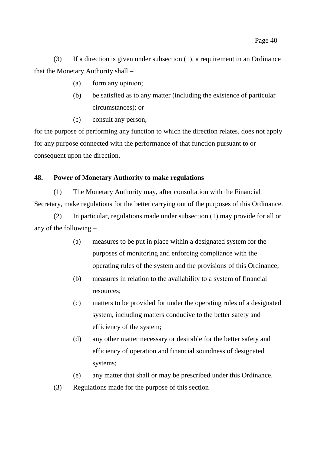(3) If a direction is given under subsection (1), a requirement in an Ordinance that the Monetary Authority shall –

- (a) form any opinion;
- (b) be satisfied as to any matter (including the existence of particular circumstances); or
- (c) consult any person,

for the purpose of performing any function to which the direction relates, does not apply for any purpose connected with the performance of that function pursuant to or consequent upon the direction.

## **48. Power of Monetary Authority to make regulations**

(1) The Monetary Authority may, after consultation with the Financial Secretary, make regulations for the better carrying out of the purposes of this Ordinance.

(2) In particular, regulations made under subsection (1) may provide for all or any of the following –

- (a) measures to be put in place within a designated system for the purposes of monitoring and enforcing compliance with the operating rules of the system and the provisions of this Ordinance;
- (b) measures in relation to the availability to a system of financial resources;
- (c) matters to be provided for under the operating rules of a designated system, including matters conducive to the better safety and efficiency of the system;
- (d) any other matter necessary or desirable for the better safety and efficiency of operation and financial soundness of designated systems;
- (e) any matter that shall or may be prescribed under this Ordinance.
- (3) Regulations made for the purpose of this section –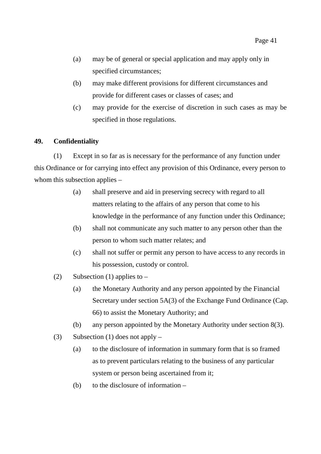- (a) may be of general or special application and may apply only in specified circumstances;
- (b) may make different provisions for different circumstances and provide for different cases or classes of cases; and
- (c) may provide for the exercise of discretion in such cases as may be specified in those regulations.

## **49. Confidentiality**

(1) Except in so far as is necessary for the performance of any function under this Ordinance or for carrying into effect any provision of this Ordinance, every person to whom this subsection applies –

- (a) shall preserve and aid in preserving secrecy with regard to all matters relating to the affairs of any person that come to his knowledge in the performance of any function under this Ordinance;
- (b) shall not communicate any such matter to any person other than the person to whom such matter relates; and
- (c) shall not suffer or permit any person to have access to any records in his possession, custody or control.
- (2) Subsection (1) applies to  $-$ 
	- (a) the Monetary Authority and any person appointed by the Financial Secretary under section 5A(3) of the Exchange Fund Ordinance (Cap. 66) to assist the Monetary Authority; and
	- (b) any person appointed by the Monetary Authority under section 8(3).
- (3) Subsection (1) does not apply
	- (a) to the disclosure of information in summary form that is so framed as to prevent particulars relating to the business of any particular system or person being ascertained from it;
	- (b) to the disclosure of information –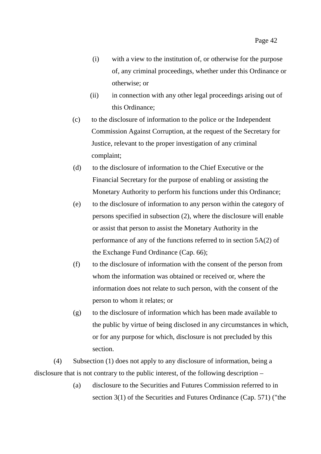- (i) with a view to the institution of, or otherwise for the purpose of, any criminal proceedings, whether under this Ordinance or otherwise; or
- (ii) in connection with any other legal proceedings arising out of this Ordinance;
- (c) to the disclosure of information to the police or the Independent Commission Against Corruption, at the request of the Secretary for Justice, relevant to the proper investigation of any criminal complaint;
- (d) to the disclosure of information to the Chief Executive or the Financial Secretary for the purpose of enabling or assisting the Monetary Authority to perform his functions under this Ordinance;
- (e) to the disclosure of information to any person within the category of persons specified in subsection (2), where the disclosure will enable or assist that person to assist the Monetary Authority in the performance of any of the functions referred to in section 5A(2) of the Exchange Fund Ordinance (Cap. 66);
- (f) to the disclosure of information with the consent of the person from whom the information was obtained or received or, where the information does not relate to such person, with the consent of the person to whom it relates; or
- (g) to the disclosure of information which has been made available to the public by virtue of being disclosed in any circumstances in which, or for any purpose for which, disclosure is not precluded by this section.

(4) Subsection (1) does not apply to any disclosure of information, being a disclosure that is not contrary to the public interest, of the following description –

> (a) disclosure to the Securities and Futures Commission referred to in section 3(1) of the Securities and Futures Ordinance (Cap. 571) ("the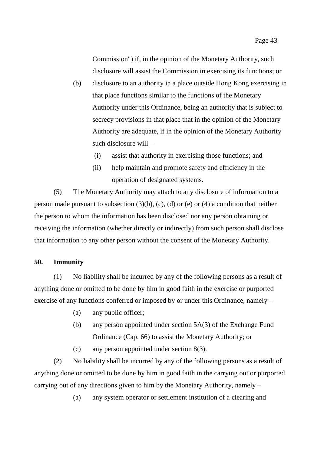Commission") if, in the opinion of the Monetary Authority, such disclosure will assist the Commission in exercising its functions; or

- (b) disclosure to an authority in a place outside Hong Kong exercising in that place functions similar to the functions of the Monetary Authority under this Ordinance, being an authority that is subject to secrecy provisions in that place that in the opinion of the Monetary Authority are adequate, if in the opinion of the Monetary Authority such disclosure will –
	- (i) assist that authority in exercising those functions; and
	- (ii) help maintain and promote safety and efficiency in the operation of designated systems.

(5) The Monetary Authority may attach to any disclosure of information to a person made pursuant to subsection  $(3)(b)$ ,  $(c)$ ,  $(d)$  or  $(e)$  or  $(4)$  a condition that neither the person to whom the information has been disclosed nor any person obtaining or receiving the information (whether directly or indirectly) from such person shall disclose that information to any other person without the consent of the Monetary Authority.

#### **50. Immunity**

(1) No liability shall be incurred by any of the following persons as a result of anything done or omitted to be done by him in good faith in the exercise or purported exercise of any functions conferred or imposed by or under this Ordinance, namely –

- (a) any public officer;
- (b) any person appointed under section 5A(3) of the Exchange Fund Ordinance (Cap. 66) to assist the Monetary Authority; or
- (c) any person appointed under section 8(3).

(2) No liability shall be incurred by any of the following persons as a result of anything done or omitted to be done by him in good faith in the carrying out or purported carrying out of any directions given to him by the Monetary Authority, namely –

(a) any system operator or settlement institution of a clearing and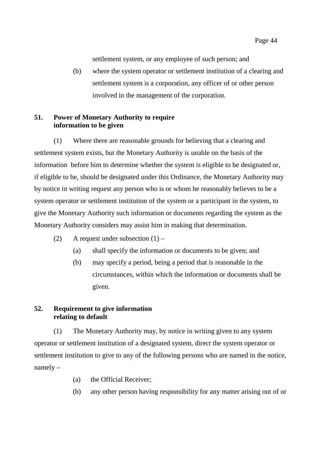Page 44

settlement system, or any employee of such person; and

(b) where the system operator or settlement institution of a clearing and settlement system is a corporation, any officer of or other person involved in the management of the corporation.

## **51. Power of Monetary Authority to require information to be given**

(1) Where there are reasonable grounds for believing that a clearing and settlement system exists, but the Monetary Authority is unable on the basis of the information before him to determine whether the system is eligible to be designated or, if eligible to be, should be designated under this Ordinance, the Monetary Authority may by notice in writing request any person who is or whom he reasonably believes to be a system operator or settlement institution of the system or a participant in the system, to give the Monetary Authority such information or documents regarding the system as the Monetary Authority considers may assist him in making that determination.

- (2) A request under subsection  $(1)$ 
	- (a) shall specify the information or documents to be given; and
	- (b) may specify a period, being a period that is reasonable in the circumstances, within which the information or documents shall be given.

## **52. Requirement to give information relating to default**

(1) The Monetary Authority may, by notice in writing given to any system operator or settlement institution of a designated system, direct the system operator or settlement institution to give to any of the following persons who are named in the notice, namely –

- (a) the Official Receiver;
- (b) any other person having responsibility for any matter arising out of or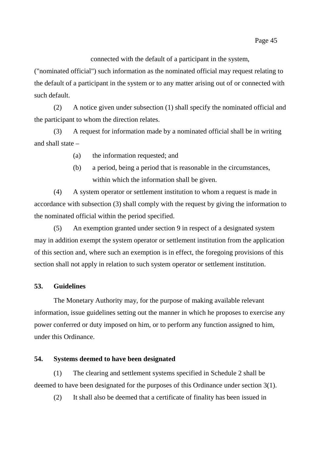connected with the default of a participant in the system,

("nominated official") such information as the nominated official may request relating to the default of a participant in the system or to any matter arising out of or connected with such default.

(2) A notice given under subsection (1) shall specify the nominated official and the participant to whom the direction relates.

(3) A request for information made by a nominated official shall be in writing and shall state –

- (a) the information requested; and
- (b) a period, being a period that is reasonable in the circumstances, within which the information shall be given.

(4) A system operator or settlement institution to whom a request is made in accordance with subsection (3) shall comply with the request by giving the information to the nominated official within the period specified.

(5) An exemption granted under section 9 in respect of a designated system may in addition exempt the system operator or settlement institution from the application of this section and, where such an exemption is in effect, the foregoing provisions of this section shall not apply in relation to such system operator or settlement institution.

## **53. Guidelines**

The Monetary Authority may, for the purpose of making available relevant information, issue guidelines setting out the manner in which he proposes to exercise any power conferred or duty imposed on him, or to perform any function assigned to him, under this Ordinance.

#### **54. Systems deemed to have been designated**

(1) The clearing and settlement systems specified in Schedule 2 shall be deemed to have been designated for the purposes of this Ordinance under section 3(1).

(2) It shall also be deemed that a certificate of finality has been issued in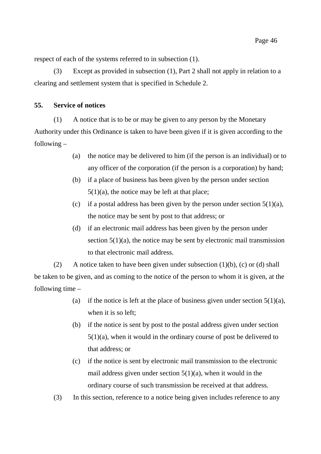respect of each of the systems referred to in subsection (1).

(3) Except as provided in subsection (1), Part 2 shall not apply in relation to a clearing and settlement system that is specified in Schedule 2.

## **55. Service of notices**

(1) A notice that is to be or may be given to any person by the Monetary Authority under this Ordinance is taken to have been given if it is given according to the following –

- (a) the notice may be delivered to him (if the person is an individual) or to any officer of the corporation (if the person is a corporation) by hand;
- (b) if a place of business has been given by the person under section  $5(1)(a)$ , the notice may be left at that place;
- (c) if a postal address has been given by the person under section  $5(1)(a)$ , the notice may be sent by post to that address; or
- (d) if an electronic mail address has been given by the person under section  $5(1)(a)$ , the notice may be sent by electronic mail transmission to that electronic mail address.

(2) A notice taken to have been given under subsection  $(1)(b)$ ,  $(c)$  or  $(d)$  shall be taken to be given, and as coming to the notice of the person to whom it is given, at the following time –

- (a) if the notice is left at the place of business given under section  $5(1)(a)$ , when it is so left;
- (b) if the notice is sent by post to the postal address given under section 5(1)(a), when it would in the ordinary course of post be delivered to that address; or
- (c) if the notice is sent by electronic mail transmission to the electronic mail address given under section  $5(1)(a)$ , when it would in the ordinary course of such transmission be received at that address.

(3) In this section, reference to a notice being given includes reference to any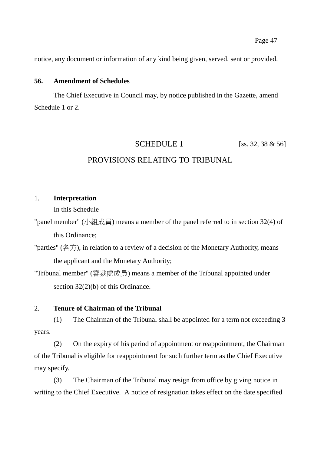notice, any document or information of any kind being given, served, sent or provided.

## **56. Amendment of Schedules**

The Chief Executive in Council may, by notice published in the Gazette, amend Schedule 1 or 2.

# SCHEDULE 1 [ss. 32, 38 & 56]

## PROVISIONS RELATING TO TRIBUNAL

## 1. **Interpretation**

In this Schedule –

- "panel member" (小組成員) means a member of the panel referred to in section 32(4) of this Ordinance;
- "parties" (各方), in relation to a review of a decision of the Monetary Authority, means the applicant and the Monetary Authority;

"Tribunal member" (審裁處成員) means a member of the Tribunal appointed under section 32(2)(b) of this Ordinance.

#### 2. **Tenure of Chairman of the Tribunal**

(1) The Chairman of the Tribunal shall be appointed for a term not exceeding 3 years.

(2) On the expiry of his period of appointment or reappointment, the Chairman of the Tribunal is eligible for reappointment for such further term as the Chief Executive may specify.

(3) The Chairman of the Tribunal may resign from office by giving notice in writing to the Chief Executive. A notice of resignation takes effect on the date specified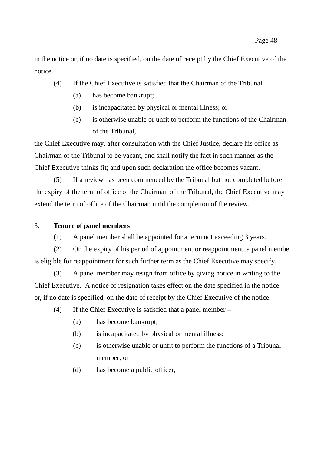in the notice or, if no date is specified, on the date of receipt by the Chief Executive of the notice.

- (4) If the Chief Executive is satisfied that the Chairman of the Tribunal
	- (a) has become bankrupt;
	- (b) is incapacitated by physical or mental illness; or
	- (c) is otherwise unable or unfit to perform the functions of the Chairman of the Tribunal,

the Chief Executive may, after consultation with the Chief Justice, declare his office as Chairman of the Tribunal to be vacant, and shall notify the fact in such manner as the Chief Executive thinks fit; and upon such declaration the office becomes vacant.

(5) If a review has been commenced by the Tribunal but not completed before the expiry of the term of office of the Chairman of the Tribunal, the Chief Executive may extend the term of office of the Chairman until the completion of the review.

## 3. **Tenure of panel members**

(1) A panel member shall be appointed for a term not exceeding 3 years.

(2) On the expiry of his period of appointment or reappointment, a panel member is eligible for reappointment for such further term as the Chief Executive may specify.

(3) A panel member may resign from office by giving notice in writing to the Chief Executive. A notice of resignation takes effect on the date specified in the notice or, if no date is specified, on the date of receipt by the Chief Executive of the notice.

(4) If the Chief Executive is satisfied that a panel member –

- (a) has become bankrupt;
- (b) is incapacitated by physical or mental illness;
- (c) is otherwise unable or unfit to perform the functions of a Tribunal member; or
- (d) has become a public officer,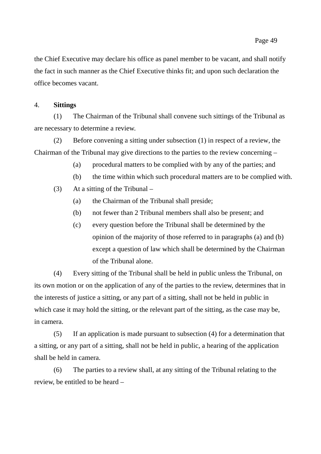the Chief Executive may declare his office as panel member to be vacant, and shall notify the fact in such manner as the Chief Executive thinks fit; and upon such declaration the office becomes vacant.

#### 4. **Sittings**

(1) The Chairman of the Tribunal shall convene such sittings of the Tribunal as are necessary to determine a review.

(2) Before convening a sitting under subsection (1) in respect of a review, the Chairman of the Tribunal may give directions to the parties to the review concerning –

- (a) procedural matters to be complied with by any of the parties; and
- (b) the time within which such procedural matters are to be complied with.
- (3) At a sitting of the Tribunal
	- (a) the Chairman of the Tribunal shall preside;
	- (b) not fewer than 2 Tribunal members shall also be present; and
	- (c) every question before the Tribunal shall be determined by the opinion of the majority of those referred to in paragraphs (a) and (b) except a question of law which shall be determined by the Chairman of the Tribunal alone.

(4) Every sitting of the Tribunal shall be held in public unless the Tribunal, on its own motion or on the application of any of the parties to the review, determines that in the interests of justice a sitting, or any part of a sitting, shall not be held in public in which case it may hold the sitting, or the relevant part of the sitting, as the case may be, in camera.

(5) If an application is made pursuant to subsection (4) for a determination that a sitting, or any part of a sitting, shall not be held in public, a hearing of the application shall be held in camera.

(6) The parties to a review shall, at any sitting of the Tribunal relating to the review, be entitled to be heard –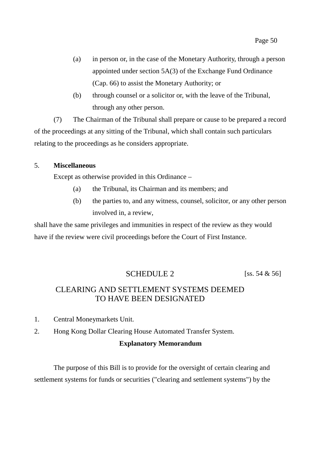- (a) in person or, in the case of the Monetary Authority, through a person appointed under section 5A(3) of the Exchange Fund Ordinance (Cap. 66) to assist the Monetary Authority; or
- (b) through counsel or a solicitor or, with the leave of the Tribunal, through any other person.

(7) The Chairman of the Tribunal shall prepare or cause to be prepared a record of the proceedings at any sitting of the Tribunal, which shall contain such particulars relating to the proceedings as he considers appropriate.

#### 5. **Miscellaneous**

Except as otherwise provided in this Ordinance –

- (a) the Tribunal, its Chairman and its members; and
- (b) the parties to, and any witness, counsel, solicitor, or any other person involved in, a review,

shall have the same privileges and immunities in respect of the review as they would have if the review were civil proceedings before the Court of First Instance.

## SCHEDULE 2 [ss. 54  $\&$  56]

## CLEARING AND SETTLEMENT SYSTEMS DEEMED TO HAVE BEEN DESIGNATED

- 1. Central Moneymarkets Unit.
- 2. Hong Kong Dollar Clearing House Automated Transfer System.

#### **Explanatory Memorandum**

The purpose of this Bill is to provide for the oversight of certain clearing and settlement systems for funds or securities ("clearing and settlement systems") by the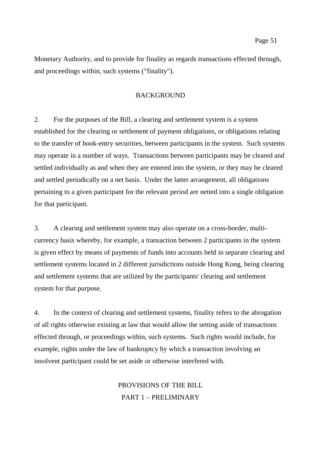Monetary Authority, and to provide for finality as regards transactions effected through, and proceedings within, such systems ("finality").

#### BACKGROUND

2. For the purposes of the Bill, a clearing and settlement system is a system established for the clearing or settlement of payment obligations, or obligations relating to the transfer of book-entry securities, between participants in the system. Such systems may operate in a number of ways. Transactions between participants may be cleared and settled individually as and when they are entered into the system, or they may be cleared and settled periodically on a net basis. Under the latter arrangement, all obligations pertaining to a given participant for the relevant period are netted into a single obligation for that participant.

3. A clearing and settlement system may also operate on a cross-border, multicurrency basis whereby, for example, a transaction between 2 participants in the system is given effect by means of payments of funds into accounts held in separate clearing and settlement systems located in 2 different jurisdictions outside Hong Kong, being clearing and settlement systems that are utilized by the participants' clearing and settlement system for that purpose.

4. In the context of clearing and settlement systems, finality refers to the abrogation of all rights otherwise existing at law that would allow the setting aside of transactions effected through, or proceedings within, such systems. Such rights would include, for example, rights under the law of bankruptcy by which a transaction involving an insolvent participant could be set aside or otherwise interfered with.

> PROVISIONS OF THE BILL PART 1 – PRELIMINARY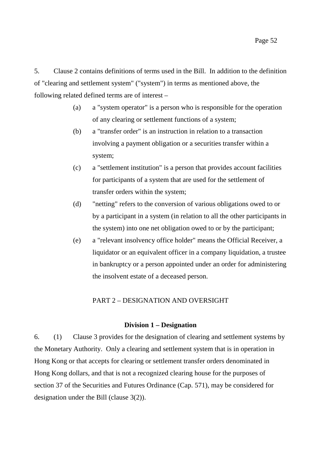5. Clause 2 contains definitions of terms used in the Bill. In addition to the definition of "clearing and settlement system" ("system") in terms as mentioned above, the following related defined terms are of interest –

- (a) a "system operator" is a person who is responsible for the operation of any clearing or settlement functions of a system;
- (b) a "transfer order" is an instruction in relation to a transaction involving a payment obligation or a securities transfer within a system;
- (c) a "settlement institution" is a person that provides account facilities for participants of a system that are used for the settlement of transfer orders within the system;
- (d) "netting" refers to the conversion of various obligations owed to or by a participant in a system (in relation to all the other participants in the system) into one net obligation owed to or by the participant;
- (e) a "relevant insolvency office holder" means the Official Receiver, a liquidator or an equivalent officer in a company liquidation, a trustee in bankruptcy or a person appointed under an order for administering the insolvent estate of a deceased person.

## PART 2 – DESIGNATION AND OVERSIGHT

#### **Division 1 – Designation**

6. (1) Clause 3 provides for the designation of clearing and settlement systems by the Monetary Authority. Only a clearing and settlement system that is in operation in Hong Kong or that accepts for clearing or settlement transfer orders denominated in Hong Kong dollars, and that is not a recognized clearing house for the purposes of section 37 of the Securities and Futures Ordinance (Cap. 571), may be considered for designation under the Bill (clause 3(2)).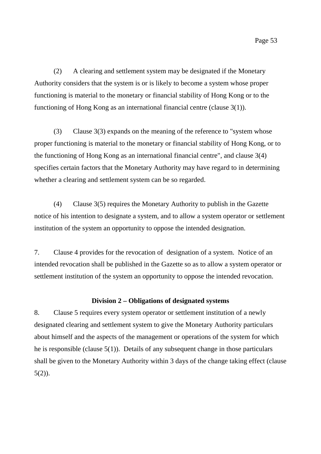(2) A clearing and settlement system may be designated if the Monetary Authority considers that the system is or is likely to become a system whose proper functioning is material to the monetary or financial stability of Hong Kong or to the functioning of Hong Kong as an international financial centre (clause 3(1)).

(3) Clause 3(3) expands on the meaning of the reference to "system whose proper functioning is material to the monetary or financial stability of Hong Kong, or to the functioning of Hong Kong as an international financial centre", and clause 3(4) specifies certain factors that the Monetary Authority may have regard to in determining whether a clearing and settlement system can be so regarded.

(4) Clause 3(5) requires the Monetary Authority to publish in the Gazette notice of his intention to designate a system, and to allow a system operator or settlement institution of the system an opportunity to oppose the intended designation.

7. Clause 4 provides for the revocation of designation of a system. Notice of an intended revocation shall be published in the Gazette so as to allow a system operator or settlement institution of the system an opportunity to oppose the intended revocation.

#### **Division 2 – Obligations of designated systems**

8. Clause 5 requires every system operator or settlement institution of a newly designated clearing and settlement system to give the Monetary Authority particulars about himself and the aspects of the management or operations of the system for which he is responsible (clause 5(1)). Details of any subsequent change in those particulars shall be given to the Monetary Authority within 3 days of the change taking effect (clause  $5(2)$ ).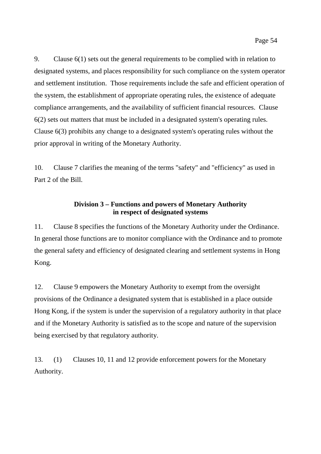9. Clause 6(1) sets out the general requirements to be complied with in relation to designated systems, and places responsibility for such compliance on the system operator and settlement institution. Those requirements include the safe and efficient operation of the system, the establishment of appropriate operating rules, the existence of adequate compliance arrangements, and the availability of sufficient financial resources. Clause 6(2) sets out matters that must be included in a designated system's operating rules. Clause 6(3) prohibits any change to a designated system's operating rules without the prior approval in writing of the Monetary Authority.

10. Clause 7 clarifies the meaning of the terms "safety" and "efficiency" as used in Part 2 of the Bill.

## **Division 3 – Functions and powers of Monetary Authority in respect of designated systems**

11. Clause 8 specifies the functions of the Monetary Authority under the Ordinance. In general those functions are to monitor compliance with the Ordinance and to promote the general safety and efficiency of designated clearing and settlement systems in Hong Kong.

12. Clause 9 empowers the Monetary Authority to exempt from the oversight provisions of the Ordinance a designated system that is established in a place outside Hong Kong, if the system is under the supervision of a regulatory authority in that place and if the Monetary Authority is satisfied as to the scope and nature of the supervision being exercised by that regulatory authority.

13. (1) Clauses 10, 11 and 12 provide enforcement powers for the Monetary Authority.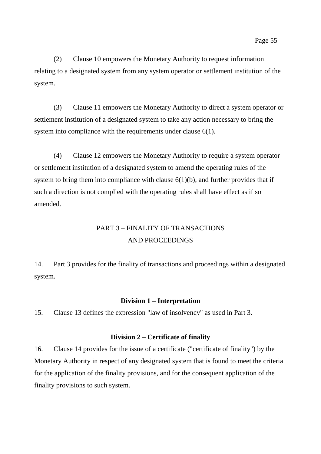(2) Clause 10 empowers the Monetary Authority to request information relating to a designated system from any system operator or settlement institution of the system.

(3) Clause 11 empowers the Monetary Authority to direct a system operator or settlement institution of a designated system to take any action necessary to bring the system into compliance with the requirements under clause 6(1).

(4) Clause 12 empowers the Monetary Authority to require a system operator or settlement institution of a designated system to amend the operating rules of the system to bring them into compliance with clause  $6(1)(b)$ , and further provides that if such a direction is not complied with the operating rules shall have effect as if so amended.

# PART 3 – FINALITY OF TRANSACTIONS AND PROCEEDINGS

14. Part 3 provides for the finality of transactions and proceedings within a designated system.

## **Division 1 – Interpretation**

15. Clause 13 defines the expression "law of insolvency" as used in Part 3.

## **Division 2 – Certificate of finality**

16. Clause 14 provides for the issue of a certificate ("certificate of finality") by the Monetary Authority in respect of any designated system that is found to meet the criteria for the application of the finality provisions, and for the consequent application of the finality provisions to such system.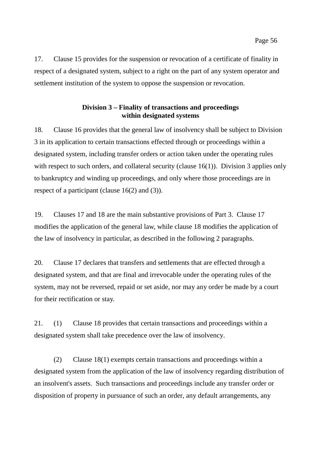17. Clause 15 provides for the suspension or revocation of a certificate of finality in respect of a designated system, subject to a right on the part of any system operator and settlement institution of the system to oppose the suspension or revocation.

## **Division 3 – Finality of transactions and proceedings within designated systems**

18. Clause 16 provides that the general law of insolvency shall be subject to Division 3 in its application to certain transactions effected through or proceedings within a designated system, including transfer orders or action taken under the operating rules with respect to such orders, and collateral security (clause 16(1)). Division 3 applies only to bankruptcy and winding up proceedings, and only where those proceedings are in respect of a participant (clause 16(2) and (3)).

19. Clauses 17 and 18 are the main substantive provisions of Part 3. Clause 17 modifies the application of the general law, while clause 18 modifies the application of the law of insolvency in particular, as described in the following 2 paragraphs.

20. Clause 17 declares that transfers and settlements that are effected through a designated system, and that are final and irrevocable under the operating rules of the system, may not be reversed, repaid or set aside, nor may any order be made by a court for their rectification or stay.

21. (1) Clause 18 provides that certain transactions and proceedings within a designated system shall take precedence over the law of insolvency.

(2) Clause 18(1) exempts certain transactions and proceedings within a designated system from the application of the law of insolvency regarding distribution of an insolvent's assets. Such transactions and proceedings include any transfer order or disposition of property in pursuance of such an order, any default arrangements, any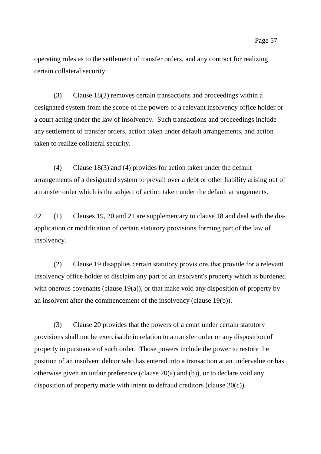operating rules as to the settlement of transfer orders, and any contract for realizing certain collateral security.

(3) Clause 18(2) removes certain transactions and proceedings within a designated system from the scope of the powers of a relevant insolvency office holder or a court acting under the law of insolvency. Such transactions and proceedings include any settlement of transfer orders, action taken under default arrangements, and action taken to realize collateral security.

(4) Clause 18(3) and (4) provides for action taken under the default arrangements of a designated system to prevail over a debt or other liability arising out of a transfer order which is the subject of action taken under the default arrangements.

22. (1) Clauses 19, 20 and 21 are supplementary to clause 18 and deal with the disapplication or modification of certain statutory provisions forming part of the law of insolvency.

(2) Clause 19 disapplies certain statutory provisions that provide for a relevant insolvency office holder to disclaim any part of an insolvent's property which is burdened with onerous covenants (clause  $19(a)$ ), or that make void any disposition of property by an insolvent after the commencement of the insolvency (clause 19(b)).

(3) Clause 20 provides that the powers of a court under certain statutory provisions shall not be exercisable in relation to a transfer order or any disposition of property in pursuance of such order. Those powers include the power to restore the position of an insolvent debtor who has entered into a transaction at an undervalue or has otherwise given an unfair preference (clause 20(a) and (b)), or to declare void any disposition of property made with intent to defraud creditors (clause 20(c)).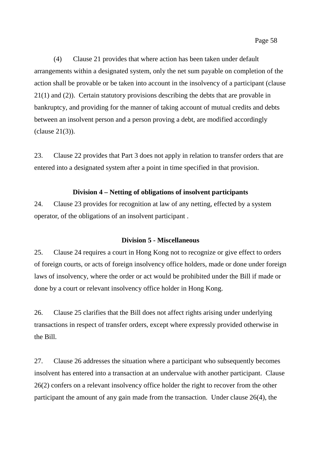(4) Clause 21 provides that where action has been taken under default arrangements within a designated system, only the net sum payable on completion of the action shall be provable or be taken into account in the insolvency of a participant (clause 21(1) and (2)). Certain statutory provisions describing the debts that are provable in bankruptcy, and providing for the manner of taking account of mutual credits and debts between an insolvent person and a person proving a debt, are modified accordingly (clause 21(3)).

23. Clause 22 provides that Part 3 does not apply in relation to transfer orders that are entered into a designated system after a point in time specified in that provision.

## **Division 4 – Netting of obligations of insolvent participants**

24. Clause 23 provides for recognition at law of any netting, effected by a system operator, of the obligations of an insolvent participant .

#### **Division 5 - Miscellaneous**

25. Clause 24 requires a court in Hong Kong not to recognize or give effect to orders of foreign courts, or acts of foreign insolvency office holders, made or done under foreign laws of insolvency, where the order or act would be prohibited under the Bill if made or done by a court or relevant insolvency office holder in Hong Kong.

26. Clause 25 clarifies that the Bill does not affect rights arising under underlying transactions in respect of transfer orders, except where expressly provided otherwise in the Bill.

27. Clause 26 addresses the situation where a participant who subsequently becomes insolvent has entered into a transaction at an undervalue with another participant. Clause 26(2) confers on a relevant insolvency office holder the right to recover from the other participant the amount of any gain made from the transaction. Under clause 26(4), the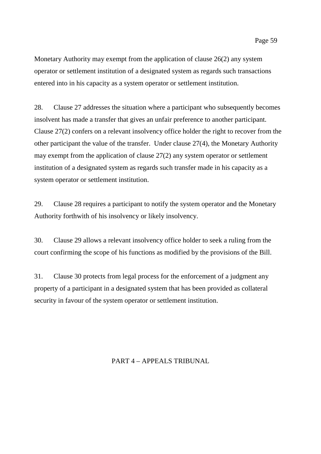Monetary Authority may exempt from the application of clause 26(2) any system operator or settlement institution of a designated system as regards such transactions entered into in his capacity as a system operator or settlement institution.

28. Clause 27 addresses the situation where a participant who subsequently becomes insolvent has made a transfer that gives an unfair preference to another participant. Clause 27(2) confers on a relevant insolvency office holder the right to recover from the other participant the value of the transfer. Under clause 27(4), the Monetary Authority may exempt from the application of clause 27(2) any system operator or settlement institution of a designated system as regards such transfer made in his capacity as a system operator or settlement institution.

29. Clause 28 requires a participant to notify the system operator and the Monetary Authority forthwith of his insolvency or likely insolvency.

30. Clause 29 allows a relevant insolvency office holder to seek a ruling from the court confirming the scope of his functions as modified by the provisions of the Bill.

31. Clause 30 protects from legal process for the enforcement of a judgment any property of a participant in a designated system that has been provided as collateral security in favour of the system operator or settlement institution.

## PART 4 – APPEALS TRIBUNAL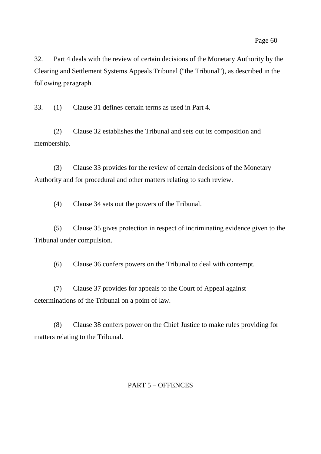32. Part 4 deals with the review of certain decisions of the Monetary Authority by the Clearing and Settlement Systems Appeals Tribunal ("the Tribunal"), as described in the following paragraph.

33. (1) Clause 31 defines certain terms as used in Part 4.

(2) Clause 32 establishes the Tribunal and sets out its composition and membership.

(3) Clause 33 provides for the review of certain decisions of the Monetary Authority and for procedural and other matters relating to such review.

(4) Clause 34 sets out the powers of the Tribunal.

(5) Clause 35 gives protection in respect of incriminating evidence given to the Tribunal under compulsion.

(6) Clause 36 confers powers on the Tribunal to deal with contempt.

(7) Clause 37 provides for appeals to the Court of Appeal against determinations of the Tribunal on a point of law.

(8) Clause 38 confers power on the Chief Justice to make rules providing for matters relating to the Tribunal.

## PART 5 – OFFENCES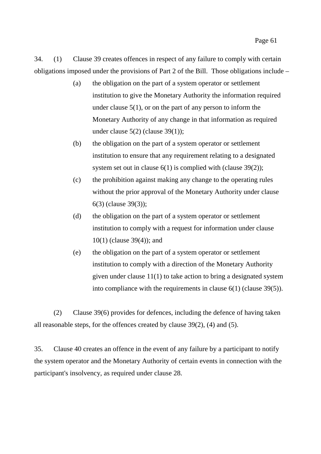34. (1) Clause 39 creates offences in respect of any failure to comply with certain obligations imposed under the provisions of Part 2 of the Bill. Those obligations include –

- (a) the obligation on the part of a system operator or settlement institution to give the Monetary Authority the information required under clause  $5(1)$ , or on the part of any person to inform the Monetary Authority of any change in that information as required under clause  $5(2)$  (clause  $39(1)$ );
- (b) the obligation on the part of a system operator or settlement institution to ensure that any requirement relating to a designated system set out in clause  $6(1)$  is complied with (clause 39(2));
- (c) the prohibition against making any change to the operating rules without the prior approval of the Monetary Authority under clause 6(3) (clause 39(3));
- (d) the obligation on the part of a system operator or settlement institution to comply with a request for information under clause 10(1) (clause 39(4)); and
- (e) the obligation on the part of a system operator or settlement institution to comply with a direction of the Monetary Authority given under clause 11(1) to take action to bring a designated system into compliance with the requirements in clause 6(1) (clause 39(5)).

(2) Clause 39(6) provides for defences, including the defence of having taken all reasonable steps, for the offences created by clause 39(2), (4) and (5).

35. Clause 40 creates an offence in the event of any failure by a participant to notify the system operator and the Monetary Authority of certain events in connection with the participant's insolvency, as required under clause 28.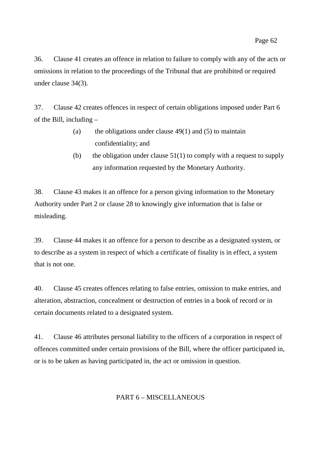36. Clause 41 creates an offence in relation to failure to comply with any of the acts or omissions in relation to the proceedings of the Tribunal that are prohibited or required under clause 34(3).

37. Clause 42 creates offences in respect of certain obligations imposed under Part 6 of the Bill, including –

- (a) the obligations under clause  $49(1)$  and (5) to maintain confidentiality; and
- (b) the obligation under clause  $51(1)$  to comply with a request to supply any information requested by the Monetary Authority.

38. Clause 43 makes it an offence for a person giving information to the Monetary Authority under Part 2 or clause 28 to knowingly give information that is false or misleading.

39. Clause 44 makes it an offence for a person to describe as a designated system, or to describe as a system in respect of which a certificate of finality is in effect, a system that is not one.

40. Clause 45 creates offences relating to false entries, omission to make entries, and alteration, abstraction, concealment or destruction of entries in a book of record or in certain documents related to a designated system.

41. Clause 46 attributes personal liability to the officers of a corporation in respect of offences committed under certain provisions of the Bill, where the officer participated in, or is to be taken as having participated in, the act or omission in question.

## PART 6 – MISCELLANEOUS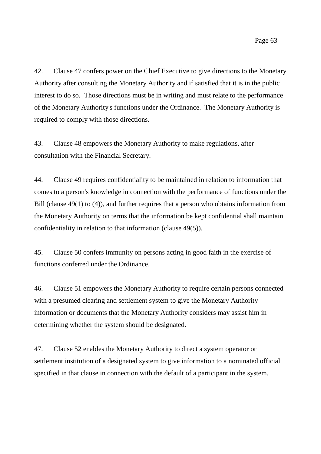42. Clause 47 confers power on the Chief Executive to give directions to the Monetary Authority after consulting the Monetary Authority and if satisfied that it is in the public interest to do so. Those directions must be in writing and must relate to the performance of the Monetary Authority's functions under the Ordinance. The Monetary Authority is required to comply with those directions.

43. Clause 48 empowers the Monetary Authority to make regulations, after consultation with the Financial Secretary.

44. Clause 49 requires confidentiality to be maintained in relation to information that comes to a person's knowledge in connection with the performance of functions under the Bill (clause 49(1) to (4)), and further requires that a person who obtains information from the Monetary Authority on terms that the information be kept confidential shall maintain confidentiality in relation to that information (clause 49(5)).

45. Clause 50 confers immunity on persons acting in good faith in the exercise of functions conferred under the Ordinance.

46. Clause 51 empowers the Monetary Authority to require certain persons connected with a presumed clearing and settlement system to give the Monetary Authority information or documents that the Monetary Authority considers may assist him in determining whether the system should be designated.

47. Clause 52 enables the Monetary Authority to direct a system operator or settlement institution of a designated system to give information to a nominated official specified in that clause in connection with the default of a participant in the system.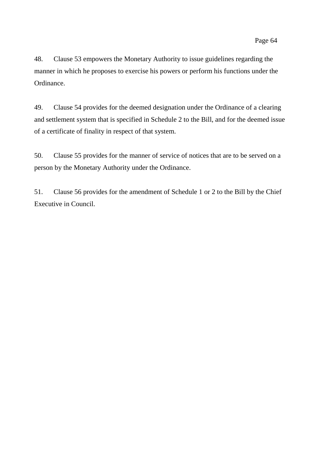48. Clause 53 empowers the Monetary Authority to issue guidelines regarding the manner in which he proposes to exercise his powers or perform his functions under the Ordinance.

49. Clause 54 provides for the deemed designation under the Ordinance of a clearing and settlement system that is specified in Schedule 2 to the Bill, and for the deemed issue of a certificate of finality in respect of that system.

50. Clause 55 provides for the manner of service of notices that are to be served on a person by the Monetary Authority under the Ordinance.

51. Clause 56 provides for the amendment of Schedule 1 or 2 to the Bill by the Chief Executive in Council.